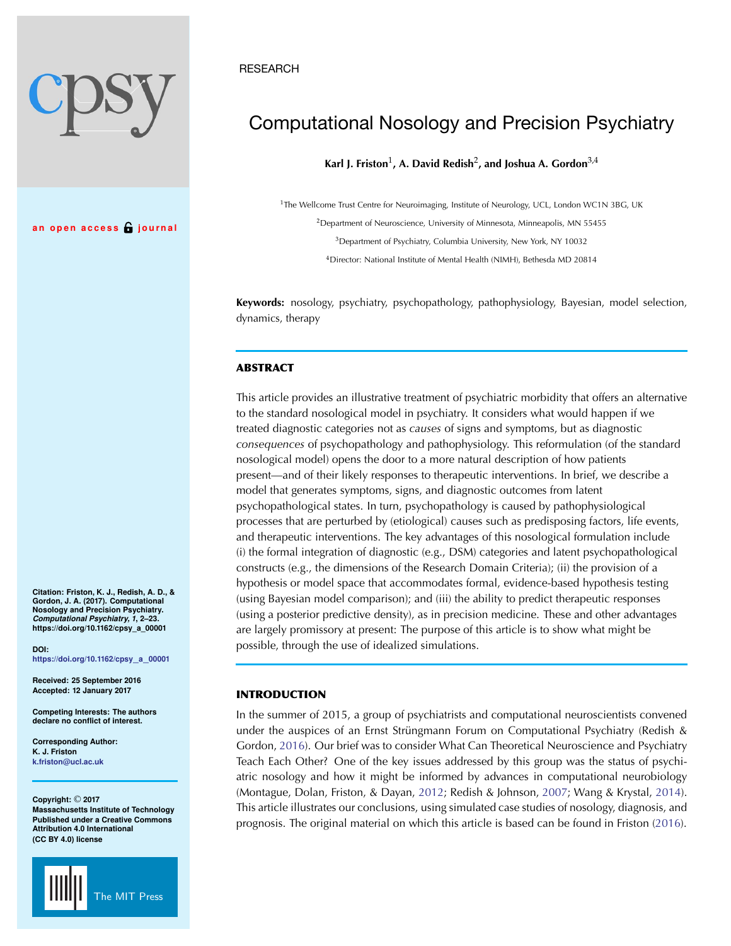## **RESEARCH**

# Computational Nosology and Precision Psychiatry

**Karl J. Friston**1**, A. David Redish**2**, and Joshua A. Gordon**3,4

<sup>1</sup>The Wellcome Trust Centre for Neuroimaging, Institute of Neurology, UCL, London WC1N 3BG, UK <sup>2</sup> Department of Neuroscience, University of Minnesota, Minneapolis, MN 55455

<sup>3</sup>Department of Psychiatry, Columbia University, New York, NY 10032

<sup>4</sup>Director: National Institute of Mental Health (NIMH), Bethesda MD 20814

**Keywords:** nosology, psychiatry, psychopathology, pathophysiology, Bayesian, model selection, dynamics, therapy

# **ABSTRACT**

This article provides an illustrative treatment of psychiatric morbidity that offers an alternative to the standard nosological model in psychiatry. It considers what would happen if we treated diagnostic categories not as *causes* of signs and symptoms, but as diagnostic *consequences* of psychopathology and pathophysiology. This reformulation (of the standard nosological model) opens the door to a more natural description of how patients present—and of their likely responses to therapeutic interventions. In brief, we describe a model that generates symptoms, signs, and diagnostic outcomes from latent psychopathological states. In turn, psychopathology is caused by pathophysiological processes that are perturbed by (etiological) causes such as predisposing factors, life events, and therapeutic interventions. The key advantages of this nosological formulation include (i) the formal integration of diagnostic (e.g., DSM) categories and latent psychopathological constructs (e.g., the dimensions of the Research Domain Criteria); (ii) the provision of a hypothesis or model space that accommodates formal, evidence-based hypothesis testing (using Bayesian model comparison); and (iii) the ability to predict therapeutic responses (using a posterior predictive density), as in precision medicine. These and other advantages are largely promissory at present: The purpose of this article is to show what might be possible, through the use of idealized simulations.

## **INTRODUCTION**

In the summer of 2015, a group of psychiatrists and computational neuroscientists convened under the auspices of an Ernst Strüngmann Forum on Computational Psychiatry (Redish & Gordon, [2016](#page-20-0)). Our brief was to consider What Can Theoretical Neuroscience and Psychiatry Teach Each Other? One of the key issues addressed by this group was the status of psychiatric nosology and how it might be informed by advances in computational neurobiology (Montague, Dolan, Friston, & Dayan, [2012;](#page-20-1) Redish & Johnson, [2007;](#page-20-2) Wang & Krystal, [2014\)](#page-21-0). This article illustrates our conclusions, using simulated case studies of nosology, diagnosis, and prognosis. The original material on which this article is based can be found in Friston [\(2016](#page-20-3)).

**Citation: Friston, K. J., Redish, A. D., & Gordon, J. A. (2017). Computational Nosology and Precision Psychiatry.** *Computational Psychiatry, 1***, 2–23. https://doi.org/10.1162/cpsy\_a\_00001**

**an open access journal**

**DOI: [https://doi.org/10.1162/cpsy](https://dx.doi.org/10.1162/cpsy_a_00001)**\_**a**\_**<sup>00001</sup>**

**Received: 25 September 2016 Accepted: 12 January 2017**

**Competing Interests: The authors declare no conflict of interest.**

**Corresponding Author: K. J. Friston [k.friston@ucl.ac.uk](mailto:k.friston@ucl.ac.uk)**

**Copyright:** © **2017 Massachusetts Institute of Technology Published under a Creative Commons Attribution 4.0 International (CC BY 4.0) license**

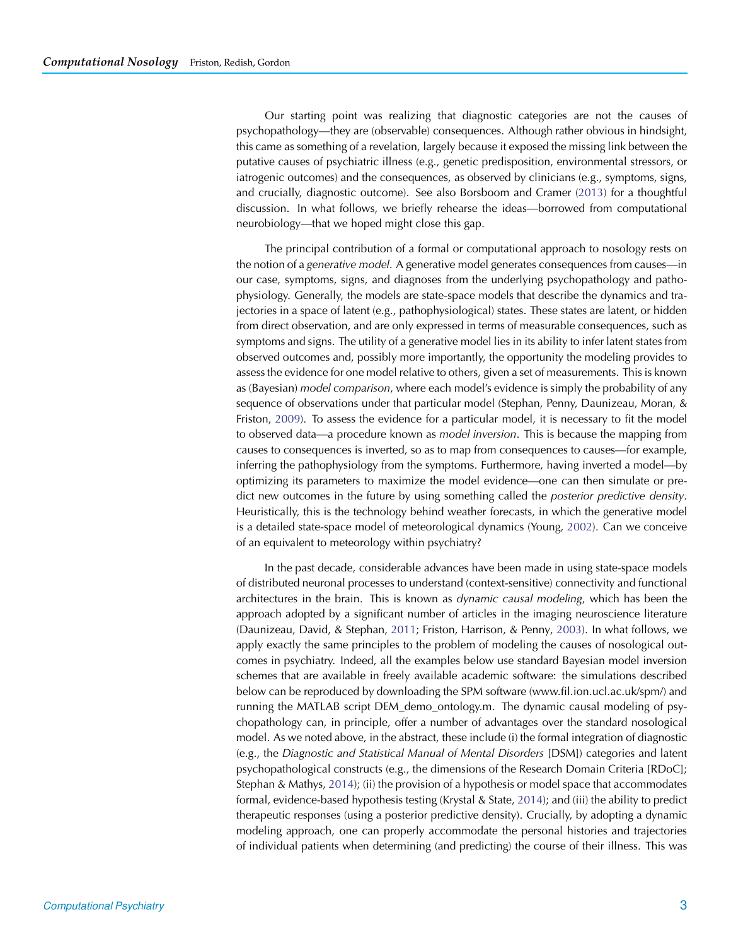Our starting point was realizing that diagnostic categories are not the causes of psychopathology—they are (observable) consequences. Although rather obvious in hindsight, this came as something of a revelation, largely because it exposed the missing link between the putative causes of psychiatric illness (e.g., genetic predisposition, environmental stressors, or iatrogenic outcomes) and the consequences, as observed by clinicians (e.g., symptoms, signs, and crucially, diagnostic outcome). See also Borsboom and Cramer [\(2013\)](#page-19-0) for a thoughtful discussion. In what follows, we briefly rehearse the ideas—borrowed from computational neurobiology—that we hoped might close this gap.

The principal contribution of a formal or computational approach to nosology rests on the notion of a *generative model*. A generative model generates consequences from causes—in our case, symptoms, signs, and diagnoses from the underlying psychopathology and pathophysiology. Generally, the models are state-space models that describe the dynamics and trajectories in a space of latent (e.g., pathophysiological) states. These states are latent, or hidden from direct observation, and are only expressed in terms of measurable consequences, such as symptoms and signs. The utility of a generative model lies in its ability to infer latent states from observed outcomes and, possibly more importantly, the opportunity the modeling provides to assess the evidence for one model relative to others, given a set of measurements. This is known as (Bayesian) *model comparison*, where each model's evidence is simply the probability of any sequence of observations under that particular model (Stephan, Penny, Daunizeau, Moran, & Friston, [2009\)](#page-20-4). To assess the evidence for a particular model, it is necessary to fit the model to observed data—a procedure known as *model inversion*. This is because the mapping from causes to consequences is inverted, so as to map from consequences to causes—for example, inferring the pathophysiology from the symptoms. Furthermore, having inverted a model—by optimizing its parameters to maximize the model evidence—one can then simulate or predict new outcomes in the future by using something called the *posterior predictive density*. Heuristically, this is the technology behind weather forecasts, in which the generative model is a detailed state-space model of meteorological dynamics (Young, [2002](#page-21-1)). Can we conceive of an equivalent to meteorology within psychiatry?

In the past decade, considerable advances have been made in using state-space models of distributed neuronal processes to understand (context-sensitive) connectivity and functional architectures in the brain. This is known as *dynamic causal modeling*, which has been the approach adopted by a significant number of articles in the imaging neuroscience literature (Daunizeau, David, & Stephan, [2011;](#page-19-1) Friston, Harrison, & Penny, [2003\)](#page-20-5). In what follows, we apply exactly the same principles to the problem of modeling the causes of nosological outcomes in psychiatry. Indeed, all the examples below use standard Bayesian model inversion schemes that are available in freely available academic software: the simulations described below can be reproduced by downloading the SPM software (www.fil.ion.ucl.ac.uk/spm/) and running the MATLAB script DEM\_demo\_ontology.m. The dynamic causal modeling of psychopathology can, in principle, offer a number of advantages over the standard nosological model. As we noted above, in the abstract, these include (i) the formal integration of diagnostic (e.g., the *Diagnostic and Statistical Manual of Mental Disorders* [DSM]) categories and latent psychopathological constructs (e.g., the dimensions of the Research Domain Criteria [RDoC]; Stephan & Mathys, [2014\)](#page-20-6); (ii) the provision of a hypothesis or model space that accommodates formal, evidence-based hypothesis testing (Krystal & State, [2014\)](#page-20-7); and (iii) the ability to predict therapeutic responses (using a posterior predictive density). Crucially, by adopting a dynamic modeling approach, one can properly accommodate the personal histories and trajectories of individual patients when determining (and predicting) the course of their illness. This was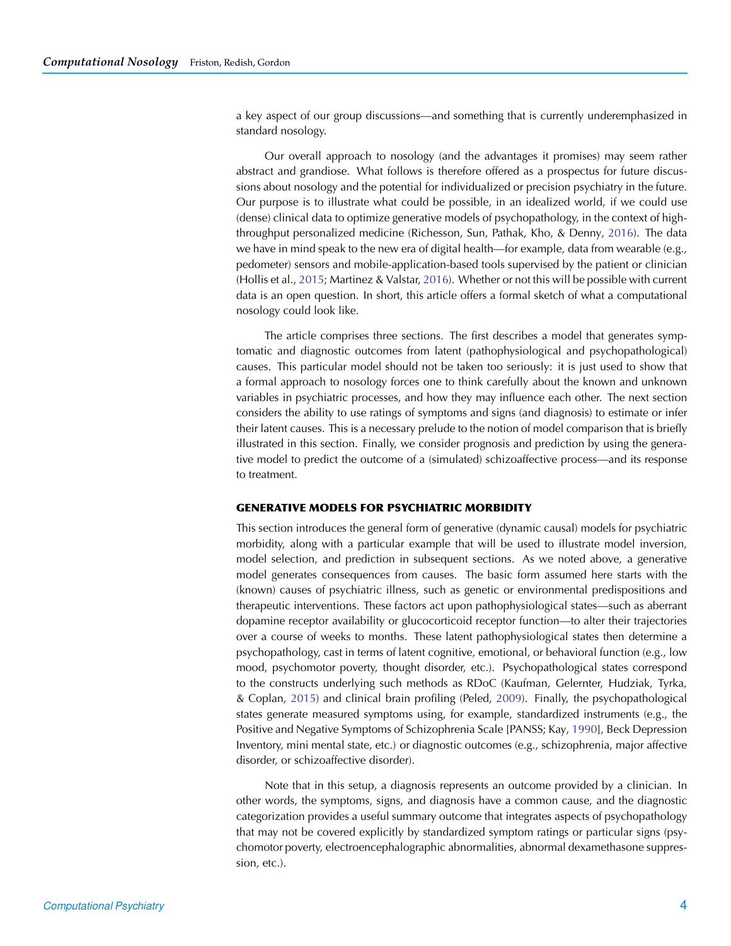a key aspect of our group discussions—and something that is currently underemphasized in standard nosology.

Our overall approach to nosology (and the advantages it promises) may seem rather abstract and grandiose. What follows is therefore offered as a prospectus for future discussions about nosology and the potential for individualized or precision psychiatry in the future. Our purpose is to illustrate what could be possible, in an idealized world, if we could use (dense) clinical data to optimize generative models of psychopathology, in the context of highthroughput personalized medicine (Richesson, Sun, Pathak, Kho, & Denny, [2016\)](#page-20-8). The data we have in mind speak to the new era of digital health—for example, data from wearable (e.g., pedometer) sensors and mobile-application-based tools supervised by the patient or clinician (Hollis et al., [2015;](#page-20-9) Martinez & Valstar, [2016\)](#page-20-10). Whether or not this will be possible with current data is an open question. In short, this article offers a formal sketch of what a computational nosology could look like.

The article comprises three sections. The first describes a model that generates symptomatic and diagnostic outcomes from latent (pathophysiological and psychopathological) causes. This particular model should not be taken too seriously: it is just used to show that a formal approach to nosology forces one to think carefully about the known and unknown variables in psychiatric processes, and how they may influence each other. The next section considers the ability to use ratings of symptoms and signs (and diagnosis) to estimate or infer their latent causes. This is a necessary prelude to the notion of model comparison that is briefly illustrated in this section. Finally, we consider prognosis and prediction by using the generative model to predict the outcome of a (simulated) schizoaffective process—and its response to treatment.

## **GENERATIVE MODELS FOR PSYCHIATRIC MORBIDITY**

This section introduces the general form of generative (dynamic causal) models for psychiatric morbidity, along with a particular example that will be used to illustrate model inversion, model selection, and prediction in subsequent sections. As we noted above, a generative model generates consequences from causes. The basic form assumed here starts with the (known) causes of psychiatric illness, such as genetic or environmental predispositions and therapeutic interventions. These factors act upon pathophysiological states—such as aberrant dopamine receptor availability or glucocorticoid receptor function—to alter their trajectories over a course of weeks to months. These latent pathophysiological states then determine a psychopathology, cast in terms of latent cognitive, emotional, or behavioral function (e.g., low mood, psychomotor poverty, thought disorder, etc.). Psychopathological states correspond to the constructs underlying such methods as RDoC (Kaufman, Gelernter, Hudziak, Tyrka, & Coplan, [2015\)](#page-20-11) and clinical brain profiling (Peled, [2009](#page-20-12)). Finally, the psychopathological states generate measured symptoms using, for example, standardized instruments (e.g., the Positive and Negative Symptoms of Schizophrenia Scale [PANSS; Kay, [1990](#page-20-13)], Beck Depression Inventory, mini mental state, etc.) or diagnostic outcomes (e.g., schizophrenia, major affective disorder, or schizoaffective disorder).

Note that in this setup, a diagnosis represents an outcome provided by a clinician. In other words, the symptoms, signs, and diagnosis have a common cause, and the diagnostic categorization provides a useful summary outcome that integrates aspects of psychopathology that may not be covered explicitly by standardized symptom ratings or particular signs (psychomotor poverty, electroencephalographic abnormalities, abnormal dexamethasone suppression, etc.).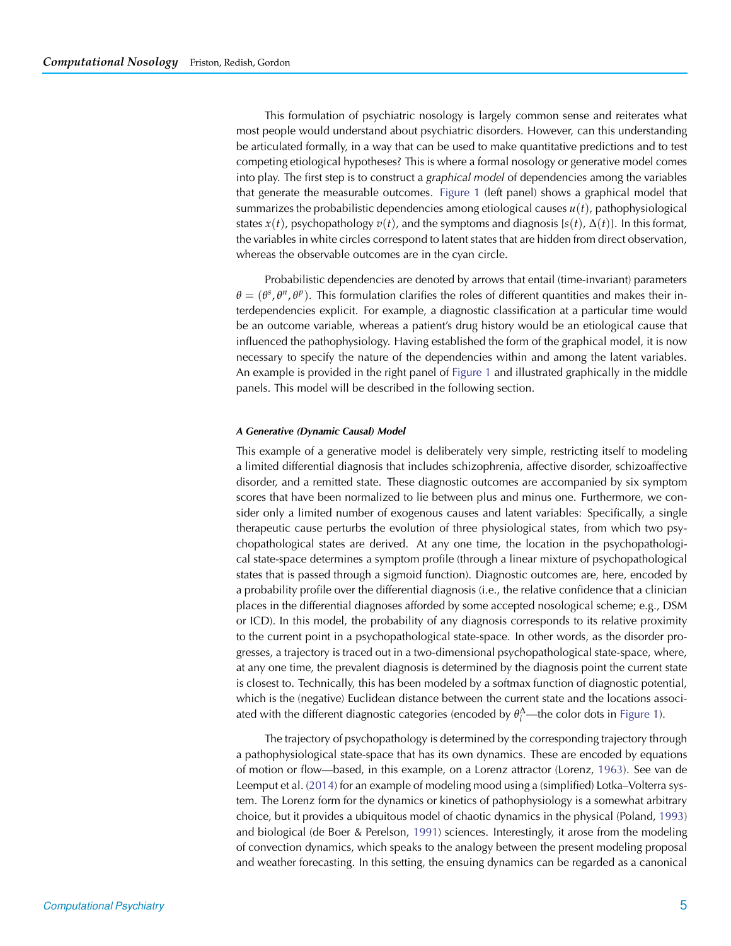This formulation of psychiatric nosology is largely common sense and reiterates what most people would understand about psychiatric disorders. However, can this understanding be articulated formally, in a way that can be used to make quantitative predictions and to test competing etiological hypotheses? This is where a formal nosology or generative model comes into play. The first step is to construct a *graphical model* of dependencies among the variables that generate the measurable outcomes. [Figure 1](#page-4-0) (left panel) shows a graphical model that summarizes the probabilistic dependencies among etiological causes  $u(t)$ , pathophysiological states  $x(t)$ , psychopathology  $v(t)$ , and the symptoms and diagnosis [ $s(t)$ ,  $\Delta(t)$ ]. In this format, the variables in white circles correspond to latent states that are hidden from direct observation, whereas the observable outcomes are in the cyan circle.

Probabilistic dependencies are denoted by arrows that entail (time-invariant) parameters  $\theta = (\theta^s, \theta^{\eta}, \theta^{\rho})$ . This formulation clarifies the roles of different quantities and makes their interdependencies explicit. For example, a diagnostic classification at a particular time would be an outcome variable, whereas a patient's drug history would be an etiological cause that influenced the pathophysiology. Having established the form of the graphical model, it is now necessary to specify the nature of the dependencies within and among the latent variables. An example is provided in the right panel of [Figure 1](#page-4-0) and illustrated graphically in the middle panels. This model will be described in the following section.

#### *A Generative (Dynamic Causal) Model*

This example of a generative model is deliberately very simple, restricting itself to modeling a limited differential diagnosis that includes schizophrenia, affective disorder, schizoaffective disorder, and a remitted state. These diagnostic outcomes are accompanied by six symptom scores that have been normalized to lie between plus and minus one. Furthermore, we consider only a limited number of exogenous causes and latent variables: Specifically, a single therapeutic cause perturbs the evolution of three physiological states, from which two psychopathological states are derived. At any one time, the location in the psychopathological state-space determines a symptom profile (through a linear mixture of psychopathological states that is passed through a sigmoid function). Diagnostic outcomes are, here, encoded by a probability profile over the differential diagnosis (i.e., the relative confidence that a clinician places in the differential diagnoses afforded by some accepted nosological scheme; e.g., DSM or ICD). In this model, the probability of any diagnosis corresponds to its relative proximity to the current point in a psychopathological state-space. In other words, as the disorder progresses, a trajectory is traced out in a two-dimensional psychopathological state-space, where, at any one time, the prevalent diagnosis is determined by the diagnosis point the current state is closest to. Technically, this has been modeled by a softmax function of diagnostic potential, which is the (negative) Euclidean distance between the current state and the locations associated with the different diagnostic categories (encoded by  $\theta_i^{\Delta}$ —the color dots in [Figure 1\)](#page-4-0).

The trajectory of psychopathology is determined by the corresponding trajectory through a pathophysiological state-space that has its own dynamics. These are encoded by equations of motion or flow—based, in this example, on a Lorenz attractor (Lorenz, [1963](#page-20-14)). See van de Leemput et al. [\(2014](#page-21-2)) for an example of modeling mood using a (simplified) Lotka–Volterra system. The Lorenz form for the dynamics or kinetics of pathophysiology is a somewhat arbitrary choice, but it provides a ubiquitous model of chaotic dynamics in the physical (Poland, [1993](#page-20-15)) and biological (de Boer & Perelson, [1991](#page-19-2)) sciences. Interestingly, it arose from the modeling of convection dynamics, which speaks to the analogy between the present modeling proposal and weather forecasting. In this setting, the ensuing dynamics can be regarded as a canonical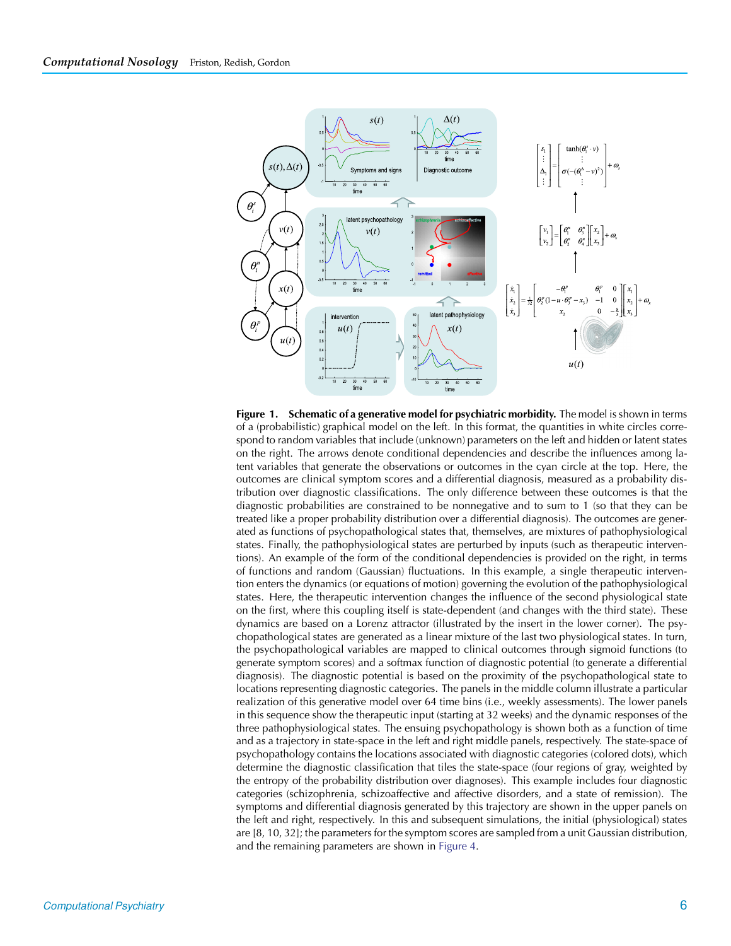

<span id="page-4-0"></span>**Figure 1. Schematic of a generative model for psychiatric morbidity.** The model is shown in terms of a (probabilistic) graphical model on the left. In this format, the quantities in white circles correspond to random variables that include (unknown) parameters on the left and hidden or latent states on the right. The arrows denote conditional dependencies and describe the influences among latent variables that generate the observations or outcomes in the cyan circle at the top. Here, the outcomes are clinical symptom scores and a differential diagnosis, measured as a probability distribution over diagnostic classifications. The only difference between these outcomes is that the diagnostic probabilities are constrained to be nonnegative and to sum to 1 (so that they can be treated like a proper probability distribution over a differential diagnosis). The outcomes are generated as functions of psychopathological states that, themselves, are mixtures of pathophysiological states. Finally, the pathophysiological states are perturbed by inputs (such as therapeutic interventions). An example of the form of the conditional dependencies is provided on the right, in terms of functions and random (Gaussian) fluctuations. In this example, a single therapeutic intervention enters the dynamics (or equations of motion) governing the evolution of the pathophysiological states. Here, the therapeutic intervention changes the influence of the second physiological state on the first, where this coupling itself is state-dependent (and changes with the third state). These dynamics are based on a Lorenz attractor (illustrated by the insert in the lower corner). The psychopathological states are generated as a linear mixture of the last two physiological states. In turn, the psychopathological variables are mapped to clinical outcomes through sigmoid functions (to generate symptom scores) and a softmax function of diagnostic potential (to generate a differential diagnosis). The diagnostic potential is based on the proximity of the psychopathological state to locations representing diagnostic categories. The panels in the middle column illustrate a particular realization of this generative model over 64 time bins (i.e., weekly assessments). The lower panels in this sequence show the therapeutic input (starting at 32 weeks) and the dynamic responses of the three pathophysiological states. The ensuing psychopathology is shown both as a function of time and as a trajectory in state-space in the left and right middle panels, respectively. The state-space of psychopathology contains the locations associated with diagnostic categories (colored dots), which determine the diagnostic classification that tiles the state-space (four regions of gray, weighted by the entropy of the probability distribution over diagnoses). This example includes four diagnostic categories (schizophrenia, schizoaffective and affective disorders, and a state of remission). The symptoms and differential diagnosis generated by this trajectory are shown in the upper panels on the left and right, respectively. In this and subsequent simulations, the initial (physiological) states are [8, 10, 32]; the parameters for the symptom scores are sampled from a unit Gaussian distribution, and the remaining parameters are shown in [Figure 4.](#page-11-0)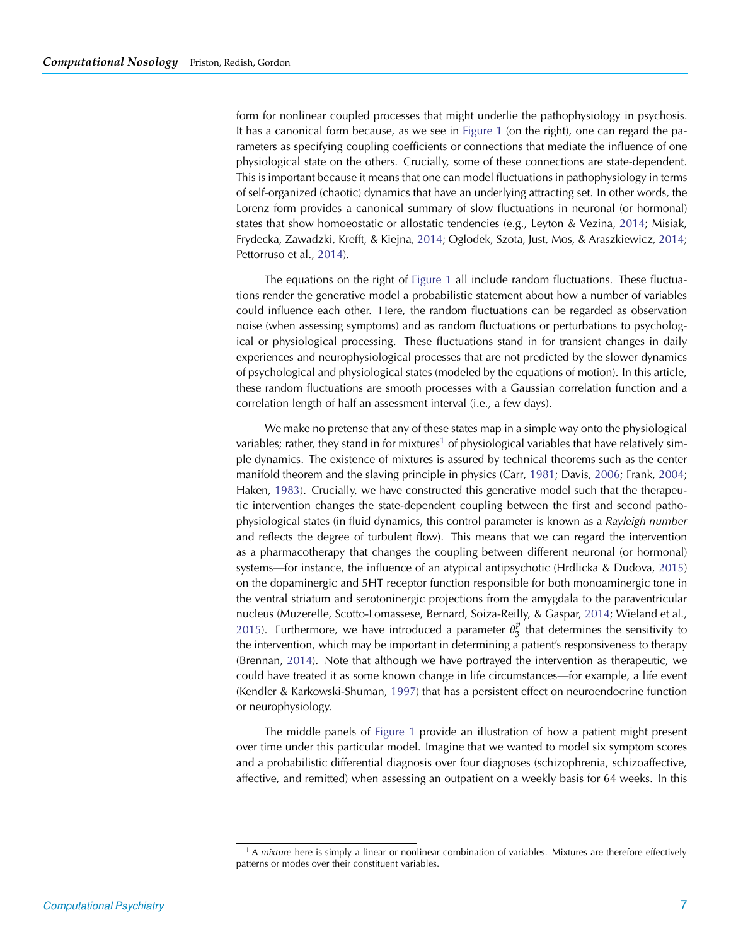form for nonlinear coupled processes that might underlie the pathophysiology in psychosis. It has a canonical form because, as we see in [Figure 1](#page-4-0) (on the right), one can regard the parameters as specifying coupling coefficients or connections that mediate the influence of one physiological state on the others. Crucially, some of these connections are state-dependent. This is important because it means that one can model fluctuations in pathophysiology in terms of self-organized (chaotic) dynamics that have an underlying attracting set. In other words, the Lorenz form provides a canonical summary of slow fluctuations in neuronal (or hormonal) states that show homoeostatic or allostatic tendencies (e.g., Leyton & Vezina, [2014](#page-20-16); Misiak, Frydecka, Zawadzki, Krefft, & Kiejna, [2014;](#page-20-17) Oglodek, Szota, Just, Mos, & Araszkiewicz, [2014](#page-20-18); Pettorruso et al., [2014](#page-20-19)).

The equations on the right of [Figure 1](#page-4-0) all include random fluctuations. These fluctuations render the generative model a probabilistic statement about how a number of variables could influence each other. Here, the random fluctuations can be regarded as observation noise (when assessing symptoms) and as random fluctuations or perturbations to psychological or physiological processing. These fluctuations stand in for transient changes in daily experiences and neurophysiological processes that are not predicted by the slower dynamics of psychological and physiological states (modeled by the equations of motion). In this article, these random fluctuations are smooth processes with a Gaussian correlation function and a correlation length of half an assessment interval (i.e., a few days).

We make no pretense that any of these states map in a simple way onto the physiological variables; rather, they stand in for mixtures<sup>[1](#page-5-0)</sup> of physiological variables that have relatively simple dynamics. The existence of mixtures is assured by technical theorems such as the center manifold theorem and the slaving principle in physics (Carr, [1981;](#page-19-3) Davis, [2006](#page-19-4); Frank, [2004](#page-19-5); Haken, [1983](#page-20-20)). Crucially, we have constructed this generative model such that the therapeutic intervention changes the state-dependent coupling between the first and second pathophysiological states (in fluid dynamics, this control parameter is known as a *Rayleigh number* and reflects the degree of turbulent flow). This means that we can regard the intervention as a pharmacotherapy that changes the coupling between different neuronal (or hormonal) systems—for instance, the influence of an atypical antipsychotic (Hrdlicka & Dudova, [2015](#page-20-21)) on the dopaminergic and 5HT receptor function responsible for both monoaminergic tone in the ventral striatum and serotoninergic projections from the amygdala to the paraventricular nucleus (Muzerelle, Scotto-Lomassese, Bernard, Soiza-Reilly, & Gaspar, [2014](#page-20-22); Wieland et al., [2015\)](#page-21-3). Furthermore, we have introduced a parameter  $\theta_3^p$  that determines the sensitivity to the intervention, which may be important in determining a patient's responsiveness to therapy (Brennan, [2014\)](#page-19-6). Note that although we have portrayed the intervention as therapeutic, we could have treated it as some known change in life circumstances—for example, a life event (Kendler & Karkowski-Shuman, [1997\)](#page-20-23) that has a persistent effect on neuroendocrine function or neurophysiology.

The middle panels of [Figure 1](#page-4-0) provide an illustration of how a patient might present over time under this particular model. Imagine that we wanted to model six symptom scores and a probabilistic differential diagnosis over four diagnoses (schizophrenia, schizoaffective, affective, and remitted) when assessing an outpatient on a weekly basis for 64 weeks. In this

<span id="page-5-0"></span><sup>1</sup> A *mixture* here is simply a linear or nonlinear combination of variables. Mixtures are therefore effectively patterns or modes over their constituent variables.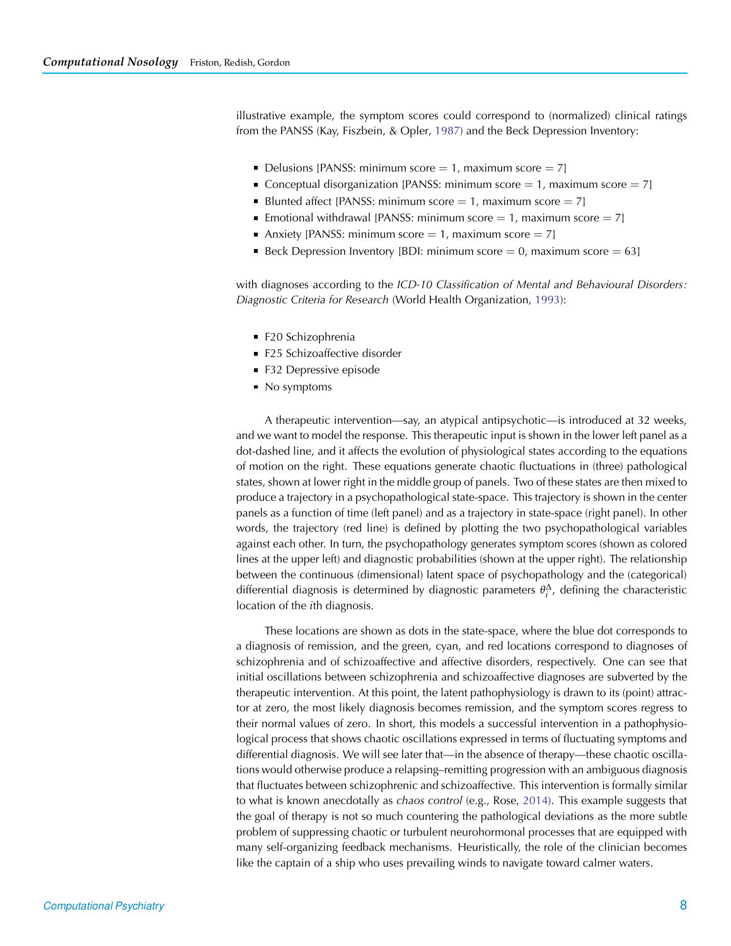illustrative example, the symptom scores could correspond to (normalized) clinical ratings from the PANSS (Kay, Fiszbein, & Opler, [1987](#page-20-24)) and the Beck Depression Inventory:

- Delusions [PANSS: minimum score  $= 1$ , maximum score  $= 7$ ]
- Conceptual disorganization [PANSS: minimum score  $= 1$ , maximum score  $= 7$ ]
- Blunted affect [PANSS: minimum score  $= 1$ , maximum score  $= 7$ ]
- Emotional withdrawal [PANSS: minimum score  $= 1$ , maximum score  $= 7$ ]
- Anxiety [PANSS: minimum score = 1, maximum score = 7]
- Beck Depression Inventory [BDI: minimum score  $= 0$ , maximum score  $= 63$ ]

with diagnoses according to the *ICD-10 Classification of Mental and Behavioural Disorders: Diagnostic Criteria for Research* (World Health Organization, [1993](#page-21-4)):

- F20 Schizophrenia
- F25 Schizoaffective disorder
- **F32 Depressive episode**
- No symptoms

A therapeutic intervention—say, an atypical antipsychotic—is introduced at 32 weeks, and we want to model the response. This therapeutic input is shown in the lower left panel as a dot-dashed line, and it affects the evolution of physiological states according to the equations of motion on the right. These equations generate chaotic fluctuations in (three) pathological states, shown at lower right in the middle group of panels. Two of these states are then mixed to produce a trajectory in a psychopathological state-space. This trajectory is shown in the center panels as a function of time (left panel) and as a trajectory in state-space (right panel). In other words, the trajectory (red line) is defined by plotting the two psychopathological variables against each other. In turn, the psychopathology generates symptom scores (shown as colored lines at the upper left) and diagnostic probabilities (shown at the upper right). The relationship between the continuous (dimensional) latent space of psychopathology and the (categorical) differential diagnosis is determined by diagnostic parameters  $\theta_i^{\Delta}$ , defining the characteristic location of the *i*th diagnosis.

These locations are shown as dots in the state-space, where the blue dot corresponds to a diagnosis of remission, and the green, cyan, and red locations correspond to diagnoses of schizophrenia and of schizoaffective and affective disorders, respectively. One can see that initial oscillations between schizophrenia and schizoaffective diagnoses are subverted by the therapeutic intervention. At this point, the latent pathophysiology is drawn to its (point) attractor at zero, the most likely diagnosis becomes remission, and the symptom scores regress to their normal values of zero. In short, this models a successful intervention in a pathophysiological process that shows chaotic oscillations expressed in terms of fluctuating symptoms and differential diagnosis. We will see later that—in the absence of therapy—these chaotic oscillations would otherwise produce a relapsing–remitting progression with an ambiguous diagnosis that fluctuates between schizophrenic and schizoaffective. This intervention is formally similar to what is known anecdotally as *chaos control* (e.g., Rose, [2014](#page-20-25)). This example suggests that the goal of therapy is not so much countering the pathological deviations as the more subtle problem of suppressing chaotic or turbulent neurohormonal processes that are equipped with many self-organizing feedback mechanisms. Heuristically, the role of the clinician becomes like the captain of a ship who uses prevailing winds to navigate toward calmer waters.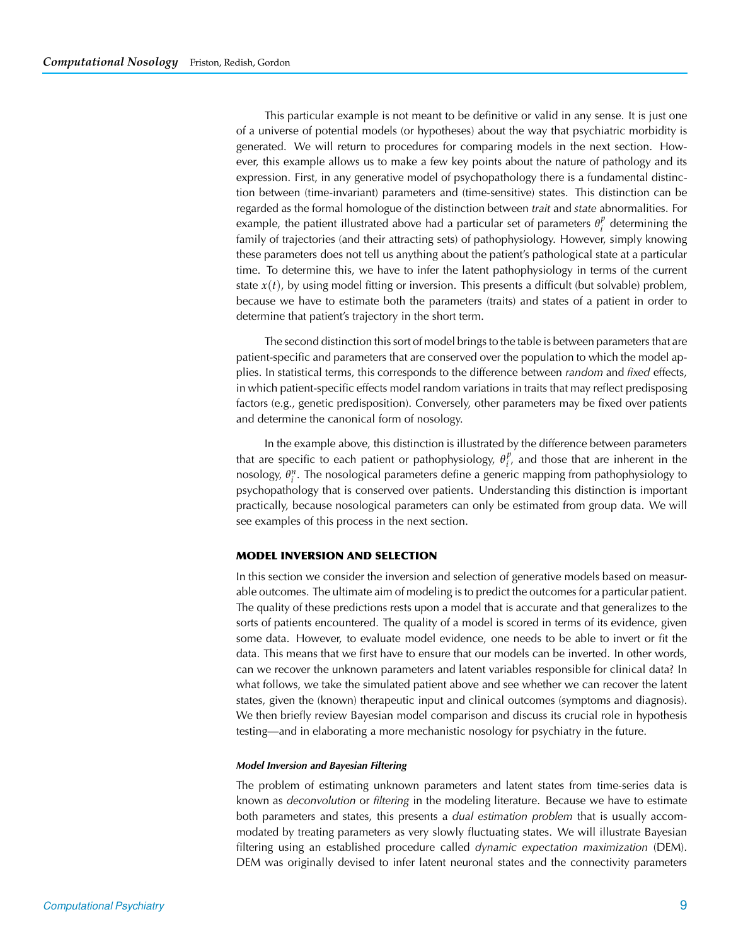This particular example is not meant to be definitive or valid in any sense. It is just one of a universe of potential models (or hypotheses) about the way that psychiatric morbidity is generated. We will return to procedures for comparing models in the next section. However, this example allows us to make a few key points about the nature of pathology and its expression. First, in any generative model of psychopathology there is a fundamental distinction between (time-invariant) parameters and (time-sensitive) states. This distinction can be regarded as the formal homologue of the distinction between *trait* and *state* abnormalities. For example, the patient illustrated above had a particular set of parameters  $\theta_i^p$  determining the family of trajectories (and their attracting sets) of pathophysiology. However, simply knowing these parameters does not tell us anything about the patient's pathological state at a particular time. To determine this, we have to infer the latent pathophysiology in terms of the current state *x*(*t*), by using model fitting or inversion. This presents a difficult (but solvable) problem, because we have to estimate both the parameters (traits) and states of a patient in order to determine that patient's trajectory in the short term.

The second distinction this sort of model brings to the table is between parameters that are patient-specific and parameters that are conserved over the population to which the model applies. In statistical terms, this corresponds to the difference between *random* and *fixed* effects, in which patient-specific effects model random variations in traits that may reflect predisposing factors (e.g., genetic predisposition). Conversely, other parameters may be fixed over patients and determine the canonical form of nosology.

In the example above, this distinction is illustrated by the difference between parameters that are specific to each patient or pathophysiology,  $\theta_i^p$ , and those that are inherent in the nosology, *θ<sup>n</sup> <sup>i</sup>* . The nosological parameters define a generic mapping from pathophysiology to psychopathology that is conserved over patients. Understanding this distinction is important practically, because nosological parameters can only be estimated from group data. We will see examples of this process in the next section.

## **MODEL INVERSION AND SELECTION**

In this section we consider the inversion and selection of generative models based on measurable outcomes. The ultimate aim of modeling is to predict the outcomes for a particular patient. The quality of these predictions rests upon a model that is accurate and that generalizes to the sorts of patients encountered. The quality of a model is scored in terms of its evidence, given some data. However, to evaluate model evidence, one needs to be able to invert or fit the data. This means that we first have to ensure that our models can be inverted. In other words, can we recover the unknown parameters and latent variables responsible for clinical data? In what follows, we take the simulated patient above and see whether we can recover the latent states, given the (known) therapeutic input and clinical outcomes (symptoms and diagnosis). We then briefly review Bayesian model comparison and discuss its crucial role in hypothesis testing—and in elaborating a more mechanistic nosology for psychiatry in the future.

#### *Model Inversion and Bayesian Filtering*

The problem of estimating unknown parameters and latent states from time-series data is known as *deconvolution* or *filtering* in the modeling literature. Because we have to estimate both parameters and states, this presents a *dual estimation problem* that is usually accommodated by treating parameters as very slowly fluctuating states. We will illustrate Bayesian filtering using an established procedure called *dynamic expectation maximization* (DEM). DEM was originally devised to infer latent neuronal states and the connectivity parameters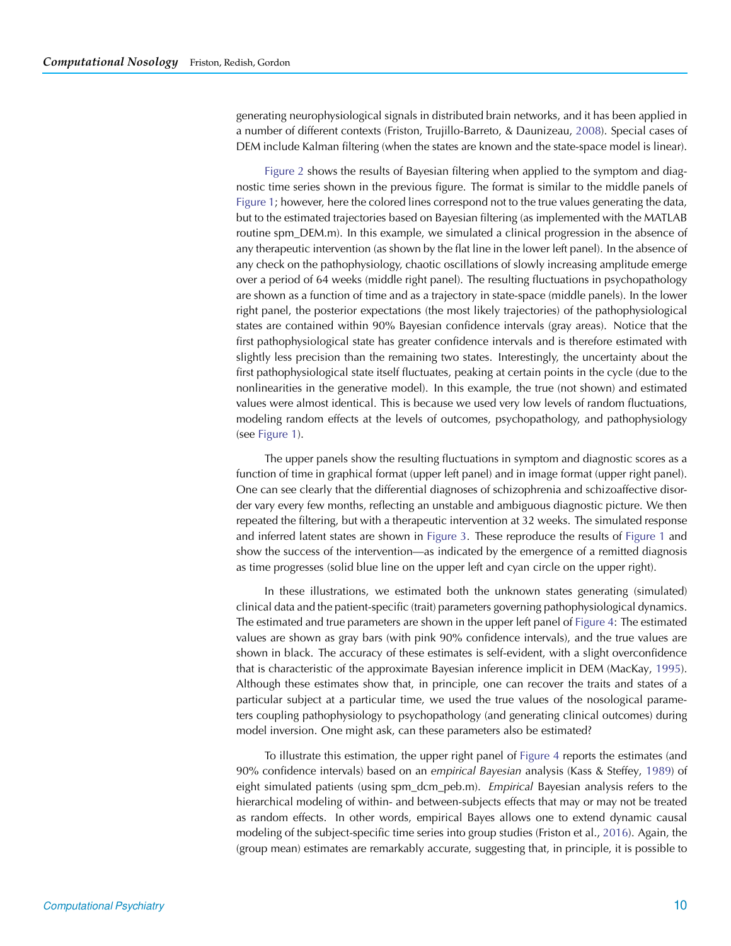generating neurophysiological signals in distributed brain networks, and it has been applied in a number of different contexts (Friston, Trujillo-Barreto, & Daunizeau, [2008\)](#page-20-26). Special cases of DEM include Kalman filtering (when the states are known and the state-space model is linear).

[Figure 2](#page-9-0) shows the results of Bayesian filtering when applied to the symptom and diagnostic time series shown in the previous figure. The format is similar to the middle panels of [Figure 1;](#page-4-0) however, here the colored lines correspond not to the true values generating the data, but to the estimated trajectories based on Bayesian filtering (as implemented with the MATLAB routine spm\_DEM.m). In this example, we simulated a clinical progression in the absence of any therapeutic intervention (as shown by the flat line in the lower left panel). In the absence of any check on the pathophysiology, chaotic oscillations of slowly increasing amplitude emerge over a period of 64 weeks (middle right panel). The resulting fluctuations in psychopathology are shown as a function of time and as a trajectory in state-space (middle panels). In the lower right panel, the posterior expectations (the most likely trajectories) of the pathophysiological states are contained within 90% Bayesian confidence intervals (gray areas). Notice that the first pathophysiological state has greater confidence intervals and is therefore estimated with slightly less precision than the remaining two states. Interestingly, the uncertainty about the first pathophysiological state itself fluctuates, peaking at certain points in the cycle (due to the nonlinearities in the generative model). In this example, the true (not shown) and estimated values were almost identical. This is because we used very low levels of random fluctuations, modeling random effects at the levels of outcomes, psychopathology, and pathophysiology (see [Figure 1\)](#page-4-0).

The upper panels show the resulting fluctuations in symptom and diagnostic scores as a function of time in graphical format (upper left panel) and in image format (upper right panel). One can see clearly that the differential diagnoses of schizophrenia and schizoaffective disorder vary every few months, reflecting an unstable and ambiguous diagnostic picture. We then repeated the filtering, but with a therapeutic intervention at 32 weeks. The simulated response and inferred latent states are shown in [Figure 3.](#page-10-0) These reproduce the results of [Figure 1](#page-4-0) and show the success of the intervention—as indicated by the emergence of a remitted diagnosis as time progresses (solid blue line on the upper left and cyan circle on the upper right).

In these illustrations, we estimated both the unknown states generating (simulated) clinical data and the patient-specific (trait) parameters governing pathophysiological dynamics. The estimated and true parameters are shown in the upper left panel of [Figure 4:](#page-11-0) The estimated values are shown as gray bars (with pink 90% confidence intervals), and the true values are shown in black. The accuracy of these estimates is self-evident, with a slight overconfidence that is characteristic of the approximate Bayesian inference implicit in DEM (MacKay, [1995\)](#page-20-27). Although these estimates show that, in principle, one can recover the traits and states of a particular subject at a particular time, we used the true values of the nosological parameters coupling pathophysiology to psychopathology (and generating clinical outcomes) during model inversion. One might ask, can these parameters also be estimated?

To illustrate this estimation, the upper right panel of [Figure 4](#page-11-0) reports the estimates (and 90% confidence intervals) based on an *empirical Bayesian* analysis (Kass & Steffey, [1989](#page-20-28)) of eight simulated patients (using spm\_dcm\_peb.m). *Empirical* Bayesian analysis refers to the hierarchical modeling of within- and between-subjects effects that may or may not be treated as random effects. In other words, empirical Bayes allows one to extend dynamic causal modeling of the subject-specific time series into group studies (Friston et al., [2016](#page-20-29)). Again, the (group mean) estimates are remarkably accurate, suggesting that, in principle, it is possible to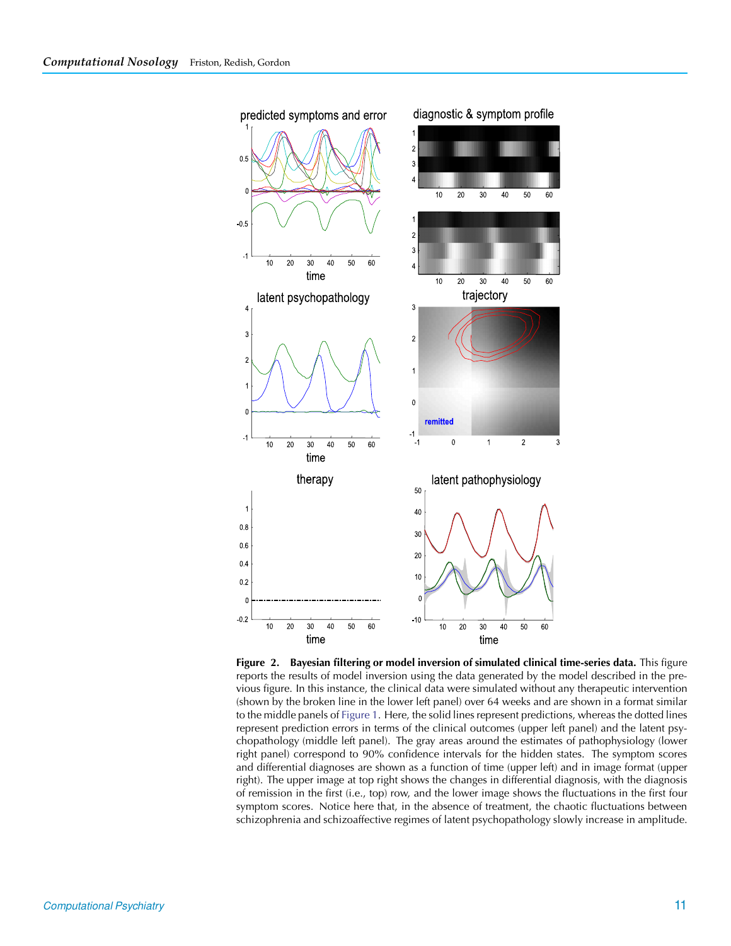

<span id="page-9-0"></span>**Figure 2. Bayesian filtering or model inversion of simulated clinical time-series data.** This figure reports the results of model inversion using the data generated by the model described in the previous figure. In this instance, the clinical data were simulated without any therapeutic intervention (shown by the broken line in the lower left panel) over 64 weeks and are shown in a format similar to the middle panels of [Figure 1.](#page-4-0) Here, the solid lines represent predictions, whereas the dotted lines represent prediction errors in terms of the clinical outcomes (upper left panel) and the latent psychopathology (middle left panel). The gray areas around the estimates of pathophysiology (lower right panel) correspond to 90% confidence intervals for the hidden states. The symptom scores and differential diagnoses are shown as a function of time (upper left) and in image format (upper right). The upper image at top right shows the changes in differential diagnosis, with the diagnosis of remission in the first (i.e., top) row, and the lower image shows the fluctuations in the first four symptom scores. Notice here that, in the absence of treatment, the chaotic fluctuations between schizophrenia and schizoaffective regimes of latent psychopathology slowly increase in amplitude.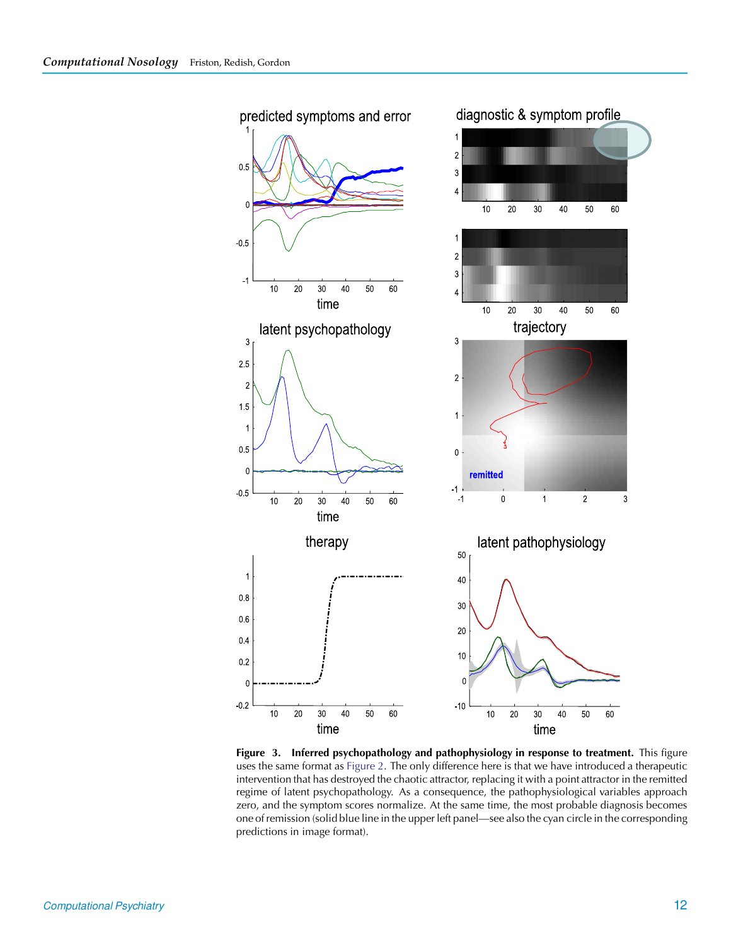

<span id="page-10-0"></span>**Figure 3. Inferred psychopathology and pathophysiology in response to treatment.** This figure uses the same format as [Figure 2.](#page-9-0) The only difference here is that we have introduced a therapeutic intervention that has destroyed the chaotic attractor, replacing it with a point attractor in the remitted regime of latent psychopathology. As a consequence, the pathophysiological variables approach zero, and the symptom scores normalize. At the same time, the most probable diagnosis becomes one of remission (solid blue line in the upper left panel—see also the cyan circle in the corresponding predictions in image format).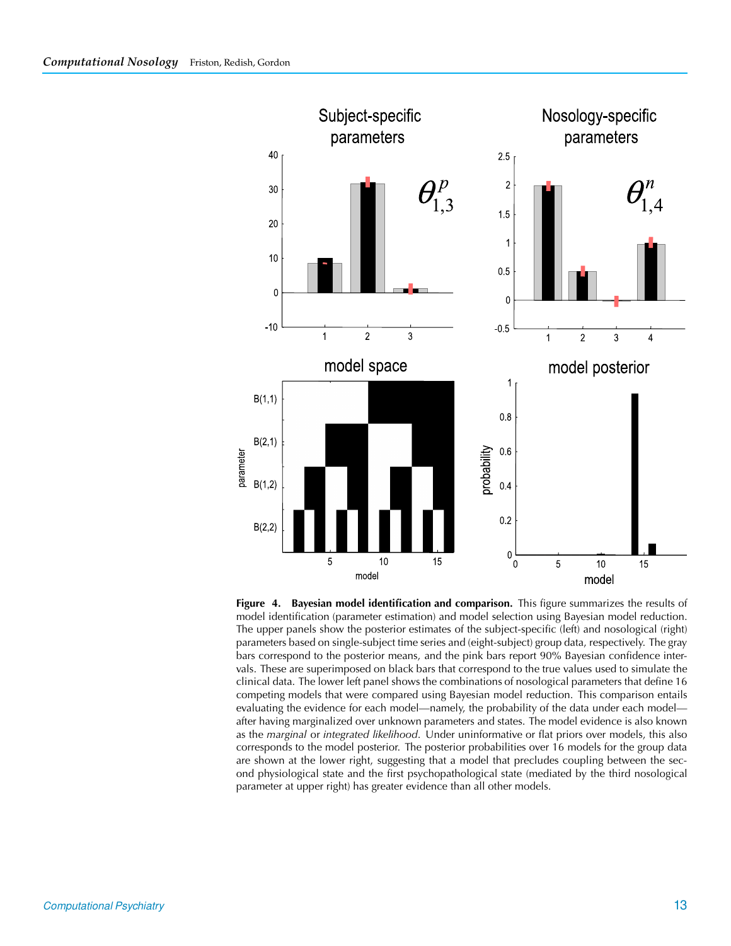

<span id="page-11-0"></span>**Figure 4. Bayesian model identification and comparison.** This figure summarizes the results of model identification (parameter estimation) and model selection using Bayesian model reduction. The upper panels show the posterior estimates of the subject-specific (left) and nosological (right) parameters based on single-subject time series and (eight-subject) group data, respectively. The gray bars correspond to the posterior means, and the pink bars report 90% Bayesian confidence intervals. These are superimposed on black bars that correspond to the true values used to simulate the clinical data. The lower left panel shows the combinations of nosological parameters that define 16 competing models that were compared using Bayesian model reduction. This comparison entails evaluating the evidence for each model—namely, the probability of the data under each model after having marginalized over unknown parameters and states. The model evidence is also known as the *marginal* or *integrated likelihood*. Under uninformative or flat priors over models, this also corresponds to the model posterior. The posterior probabilities over 16 models for the group data are shown at the lower right, suggesting that a model that precludes coupling between the second physiological state and the first psychopathological state (mediated by the third nosological parameter at upper right) has greater evidence than all other models.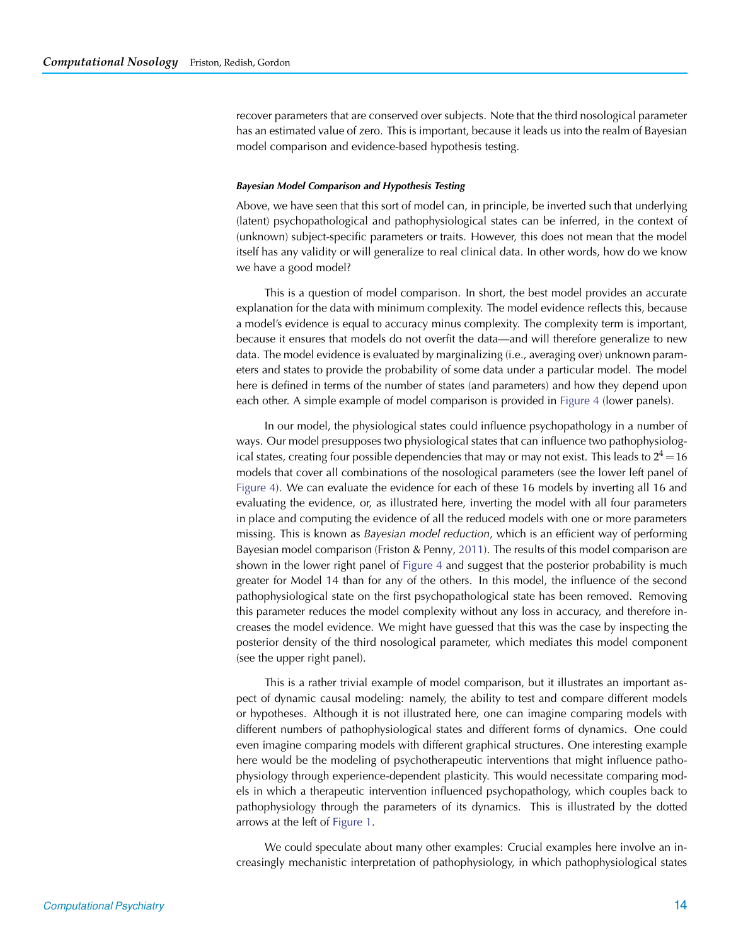recover parameters that are conserved over subjects. Note that the third nosological parameter has an estimated value of zero. This is important, because it leads us into the realm of Bayesian model comparison and evidence-based hypothesis testing.

#### *Bayesian Model Comparison and Hypothesis Testing*

Above, we have seen that this sort of model can, in principle, be inverted such that underlying (latent) psychopathological and pathophysiological states can be inferred, in the context of (unknown) subject-specific parameters or traits. However, this does not mean that the model itself has any validity or will generalize to real clinical data. In other words, how do we know we have a good model?

This is a question of model comparison. In short, the best model provides an accurate explanation for the data with minimum complexity. The model evidence reflects this, because a model's evidence is equal to accuracy minus complexity. The complexity term is important, because it ensures that models do not overfit the data—and will therefore generalize to new data. The model evidence is evaluated by marginalizing (i.e., averaging over) unknown parameters and states to provide the probability of some data under a particular model. The model here is defined in terms of the number of states (and parameters) and how they depend upon each other. A simple example of model comparison is provided in [Figure 4](#page-11-0) (lower panels).

In our model, the physiological states could influence psychopathology in a number of ways. Our model presupposes two physiological states that can influence two pathophysiological states, creating four possible dependencies that may or may not exist. This leads to  $2^4 = 16$ models that cover all combinations of the nosological parameters (see the lower left panel of [Figure 4\)](#page-11-0). We can evaluate the evidence for each of these 16 models by inverting all 16 and evaluating the evidence, or, as illustrated here, inverting the model with all four parameters in place and computing the evidence of all the reduced models with one or more parameters missing. This is known as *Bayesian model reduction*, which is an efficient way of performing Bayesian model comparison (Friston & Penny, [2011](#page-20-30)). The results of this model comparison are shown in the lower right panel of [Figure 4](#page-11-0) and suggest that the posterior probability is much greater for Model 14 than for any of the others. In this model, the influence of the second pathophysiological state on the first psychopathological state has been removed. Removing this parameter reduces the model complexity without any loss in accuracy, and therefore increases the model evidence. We might have guessed that this was the case by inspecting the posterior density of the third nosological parameter, which mediates this model component (see the upper right panel).

This is a rather trivial example of model comparison, but it illustrates an important aspect of dynamic causal modeling: namely, the ability to test and compare different models or hypotheses. Although it is not illustrated here, one can imagine comparing models with different numbers of pathophysiological states and different forms of dynamics. One could even imagine comparing models with different graphical structures. One interesting example here would be the modeling of psychotherapeutic interventions that might influence pathophysiology through experience-dependent plasticity. This would necessitate comparing models in which a therapeutic intervention influenced psychopathology, which couples back to pathophysiology through the parameters of its dynamics. This is illustrated by the dotted arrows at the left of [Figure 1.](#page-4-0)

We could speculate about many other examples: Crucial examples here involve an increasingly mechanistic interpretation of pathophysiology, in which pathophysiological states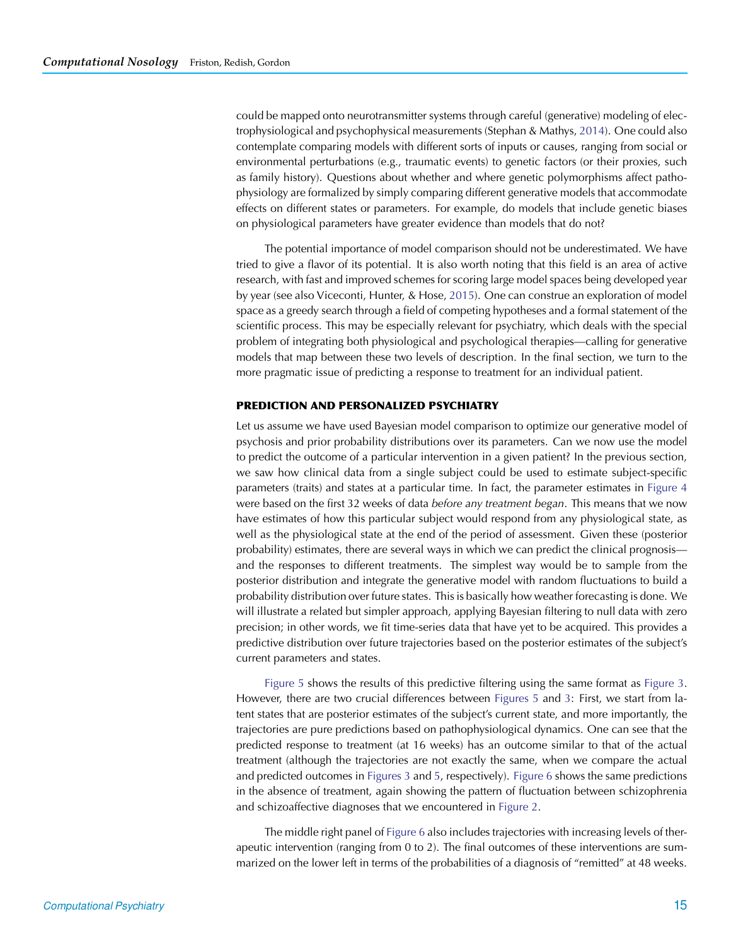could be mapped onto neurotransmitter systems through careful (generative) modeling of electrophysiological and psychophysical measurements (Stephan & Mathys, [2014\)](#page-20-6). One could also contemplate comparing models with different sorts of inputs or causes, ranging from social or environmental perturbations (e.g., traumatic events) to genetic factors (or their proxies, such as family history). Questions about whether and where genetic polymorphisms affect pathophysiology are formalized by simply comparing different generative models that accommodate effects on different states or parameters. For example, do models that include genetic biases on physiological parameters have greater evidence than models that do not?

The potential importance of model comparison should not be underestimated. We have tried to give a flavor of its potential. It is also worth noting that this field is an area of active research, with fast and improved schemes for scoring large model spaces being developed year by year (see also Viceconti, Hunter, & Hose, [2015\)](#page-21-5). One can construe an exploration of model space as a greedy search through a field of competing hypotheses and a formal statement of the scientific process. This may be especially relevant for psychiatry, which deals with the special problem of integrating both physiological and psychological therapies—calling for generative models that map between these two levels of description. In the final section, we turn to the more pragmatic issue of predicting a response to treatment for an individual patient.

## **PREDICTION AND PERSONALIZED PSYCHIATRY**

Let us assume we have used Bayesian model comparison to optimize our generative model of psychosis and prior probability distributions over its parameters. Can we now use the model to predict the outcome of a particular intervention in a given patient? In the previous section, we saw how clinical data from a single subject could be used to estimate subject-specific parameters (traits) and states at a particular time. In fact, the parameter estimates in [Figure 4](#page-11-0) were based on the first 32 weeks of data *before any treatment began*. This means that we now have estimates of how this particular subject would respond from any physiological state, as well as the physiological state at the end of the period of assessment. Given these (posterior probability) estimates, there are several ways in which we can predict the clinical prognosis and the responses to different treatments. The simplest way would be to sample from the posterior distribution and integrate the generative model with random fluctuations to build a probability distribution over future states. This is basically how weather forecasting is done. We will illustrate a related but simpler approach, applying Bayesian filtering to null data with zero precision; in other words, we fit time-series data that have yet to be acquired. This provides a predictive distribution over future trajectories based on the posterior estimates of the subject's current parameters and states.

[Figure 5](#page-14-0) shows the results of this predictive filtering using the same format as [Figure 3.](#page-10-0) However, there are two crucial differences between [Figures 5](#page-14-0) and [3:](#page-10-0) First, we start from latent states that are posterior estimates of the subject's current state, and more importantly, the trajectories are pure predictions based on pathophysiological dynamics. One can see that the predicted response to treatment (at 16 weeks) has an outcome similar to that of the actual treatment (although the trajectories are not exactly the same, when we compare the actual and predicted outcomes in [Figures 3](#page-10-0) and [5,](#page-14-0) respectively). [Figure 6](#page-15-0) shows the same predictions in the absence of treatment, again showing the pattern of fluctuation between schizophrenia and schizoaffective diagnoses that we encountered in [Figure 2.](#page-9-0)

The middle right panel of [Figure 6](#page-15-0) also includes trajectories with increasing levels of therapeutic intervention (ranging from 0 to 2). The final outcomes of these interventions are summarized on the lower left in terms of the probabilities of a diagnosis of "remitted" at 48 weeks.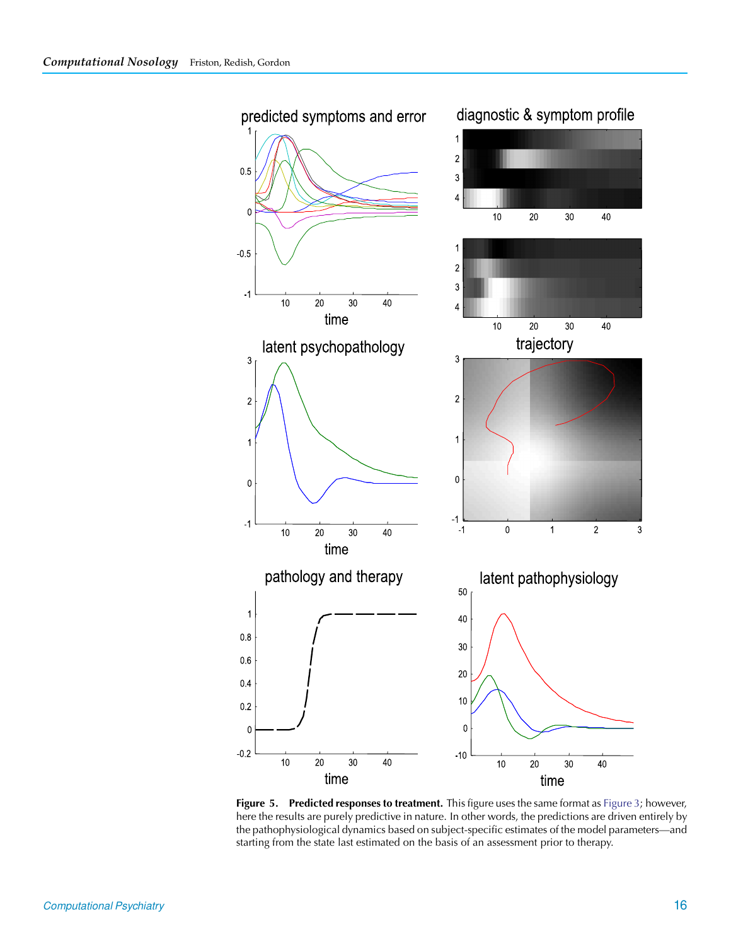

<span id="page-14-0"></span>**Figure 5. Predicted responses to treatment.** This figure uses the same format as [Figure 3;](#page-10-0) however, here the results are purely predictive in nature. In other words, the predictions are driven entirely by the pathophysiological dynamics based on subject-specific estimates of the model parameters—and starting from the state last estimated on the basis of an assessment prior to therapy.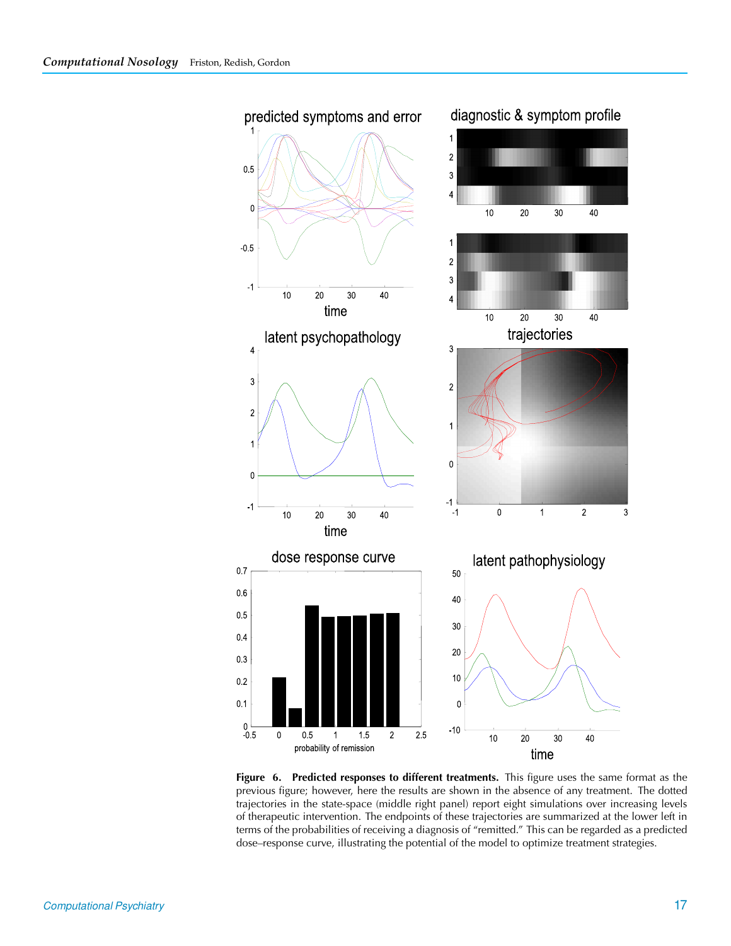

<span id="page-15-0"></span>**Figure 6. Predicted responses to different treatments.** This figure uses the same format as the previous figure; however, here the results are shown in the absence of any treatment. The dotted trajectories in the state-space (middle right panel) report eight simulations over increasing levels of therapeutic intervention. The endpoints of these trajectories are summarized at the lower left in terms of the probabilities of receiving a diagnosis of "remitted." This can be regarded as a predicted dose–response curve, illustrating the potential of the model to optimize treatment strategies.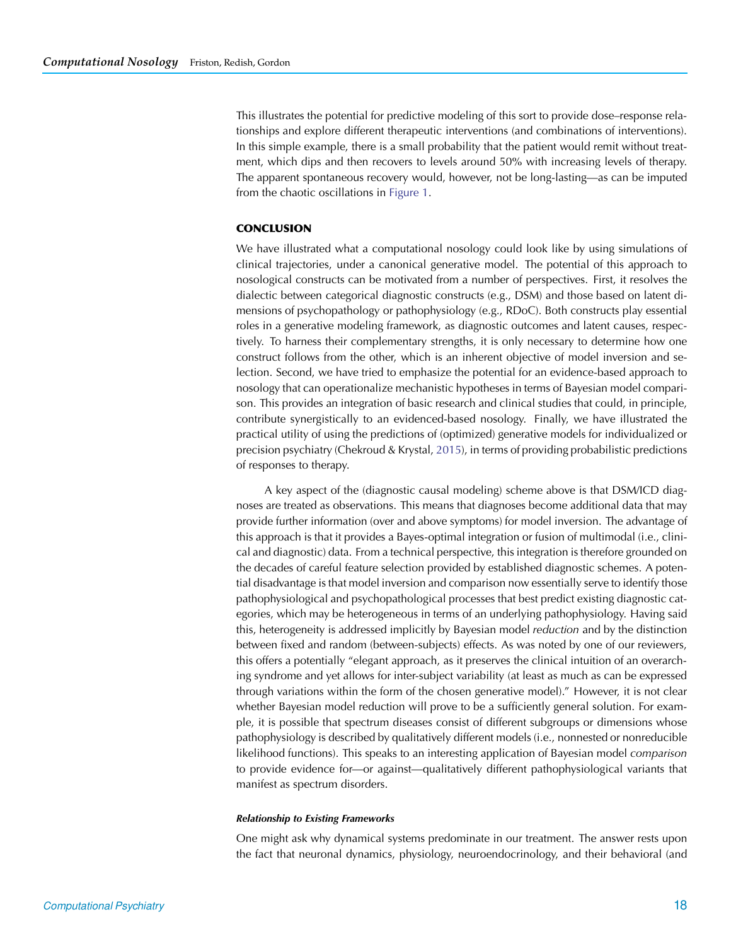This illustrates the potential for predictive modeling of this sort to provide dose–response relationships and explore different therapeutic interventions (and combinations of interventions). In this simple example, there is a small probability that the patient would remit without treatment, which dips and then recovers to levels around 50% with increasing levels of therapy. The apparent spontaneous recovery would, however, not be long-lasting—as can be imputed from the chaotic oscillations in [Figure 1.](#page-4-0)

# **CONCLUSION**

We have illustrated what a computational nosology could look like by using simulations of clinical trajectories, under a canonical generative model. The potential of this approach to nosological constructs can be motivated from a number of perspectives. First, it resolves the dialectic between categorical diagnostic constructs (e.g., DSM) and those based on latent dimensions of psychopathology or pathophysiology (e.g., RDoC). Both constructs play essential roles in a generative modeling framework, as diagnostic outcomes and latent causes, respectively. To harness their complementary strengths, it is only necessary to determine how one construct follows from the other, which is an inherent objective of model inversion and selection. Second, we have tried to emphasize the potential for an evidence-based approach to nosology that can operationalize mechanistic hypotheses in terms of Bayesian model comparison. This provides an integration of basic research and clinical studies that could, in principle, contribute synergistically to an evidenced-based nosology. Finally, we have illustrated the practical utility of using the predictions of (optimized) generative models for individualized or precision psychiatry (Chekroud & Krystal, [2015\)](#page-19-7), in terms of providing probabilistic predictions of responses to therapy.

A key aspect of the (diagnostic causal modeling) scheme above is that DSM/ICD diagnoses are treated as observations. This means that diagnoses become additional data that may provide further information (over and above symptoms) for model inversion. The advantage of this approach is that it provides a Bayes-optimal integration or fusion of multimodal (i.e., clinical and diagnostic) data. From a technical perspective, this integration is therefore grounded on the decades of careful feature selection provided by established diagnostic schemes. A potential disadvantage is that model inversion and comparison now essentially serve to identify those pathophysiological and psychopathological processes that best predict existing diagnostic categories, which may be heterogeneous in terms of an underlying pathophysiology. Having said this, heterogeneity is addressed implicitly by Bayesian model *reduction* and by the distinction between fixed and random (between-subjects) effects. As was noted by one of our reviewers, this offers a potentially "elegant approach, as it preserves the clinical intuition of an overarching syndrome and yet allows for inter-subject variability (at least as much as can be expressed through variations within the form of the chosen generative model)." However, it is not clear whether Bayesian model reduction will prove to be a sufficiently general solution. For example, it is possible that spectrum diseases consist of different subgroups or dimensions whose pathophysiology is described by qualitatively different models (i.e., nonnested or nonreducible likelihood functions). This speaks to an interesting application of Bayesian model *comparison* to provide evidence for—or against—qualitatively different pathophysiological variants that manifest as spectrum disorders.

#### *Relationship to Existing Frameworks*

One might ask why dynamical systems predominate in our treatment. The answer rests upon the fact that neuronal dynamics, physiology, neuroendocrinology, and their behavioral (and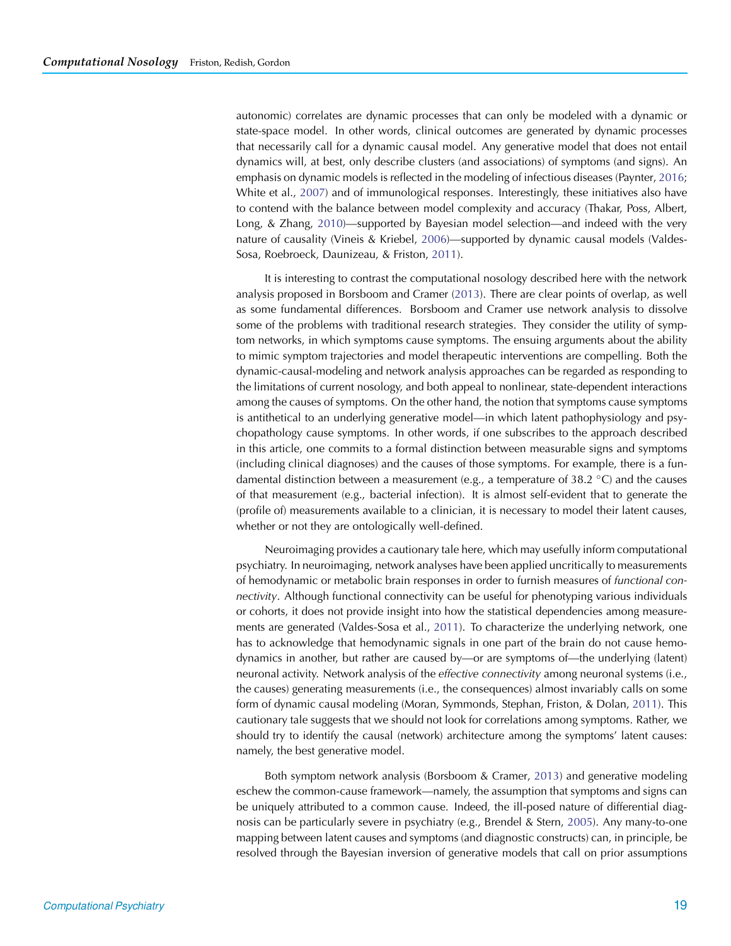autonomic) correlates are dynamic processes that can only be modeled with a dynamic or state-space model. In other words, clinical outcomes are generated by dynamic processes that necessarily call for a dynamic causal model. Any generative model that does not entail dynamics will, at best, only describe clusters (and associations) of symptoms (and signs). An emphasis on dynamic models is reflected in the modeling of infectious diseases (Paynter, [2016](#page-20-31); White et al., [2007\)](#page-21-6) and of immunological responses. Interestingly, these initiatives also have to contend with the balance between model complexity and accuracy (Thakar, Poss, Albert, Long, & Zhang, [2010](#page-20-32))—supported by Bayesian model selection—and indeed with the very nature of causality (Vineis & Kriebel, [2006](#page-21-7))—supported by dynamic causal models (Valdes-Sosa, Roebroeck, Daunizeau, & Friston, [2011](#page-21-8)).

It is interesting to contrast the computational nosology described here with the network analysis proposed in Borsboom and Cramer [\(2013](#page-19-0)). There are clear points of overlap, as well as some fundamental differences. Borsboom and Cramer use network analysis to dissolve some of the problems with traditional research strategies. They consider the utility of symptom networks, in which symptoms cause symptoms. The ensuing arguments about the ability to mimic symptom trajectories and model therapeutic interventions are compelling. Both the dynamic-causal-modeling and network analysis approaches can be regarded as responding to the limitations of current nosology, and both appeal to nonlinear, state-dependent interactions among the causes of symptoms. On the other hand, the notion that symptoms cause symptoms is antithetical to an underlying generative model—in which latent pathophysiology and psychopathology cause symptoms. In other words, if one subscribes to the approach described in this article, one commits to a formal distinction between measurable signs and symptoms (including clinical diagnoses) and the causes of those symptoms. For example, there is a fundamental distinction between a measurement (e.g., a temperature of 38.2 °C) and the causes of that measurement (e.g., bacterial infection). It is almost self-evident that to generate the (profile of) measurements available to a clinician, it is necessary to model their latent causes, whether or not they are ontologically well-defined.

Neuroimaging provides a cautionary tale here, which may usefully inform computational psychiatry. In neuroimaging, network analyses have been applied uncritically to measurements of hemodynamic or metabolic brain responses in order to furnish measures of *functional connectivity*. Although functional connectivity can be useful for phenotyping various individuals or cohorts, it does not provide insight into how the statistical dependencies among measurements are generated (Valdes-Sosa et al., [2011\)](#page-21-8). To characterize the underlying network, one has to acknowledge that hemodynamic signals in one part of the brain do not cause hemodynamics in another, but rather are caused by—or are symptoms of—the underlying (latent) neuronal activity. Network analysis of the *effective connectivity* among neuronal systems (i.e., the causes) generating measurements (i.e., the consequences) almost invariably calls on some form of dynamic causal modeling (Moran, Symmonds, Stephan, Friston, & Dolan, [2011](#page-20-33)). This cautionary tale suggests that we should not look for correlations among symptoms. Rather, we should try to identify the causal (network) architecture among the symptoms' latent causes: namely, the best generative model.

Both symptom network analysis (Borsboom & Cramer, [2013\)](#page-19-0) and generative modeling eschew the common-cause framework—namely, the assumption that symptoms and signs can be uniquely attributed to a common cause. Indeed, the ill-posed nature of differential diagnosis can be particularly severe in psychiatry (e.g., Brendel & Stern, [2005\)](#page-19-8). Any many-to-one mapping between latent causes and symptoms (and diagnostic constructs) can, in principle, be resolved through the Bayesian inversion of generative models that call on prior assumptions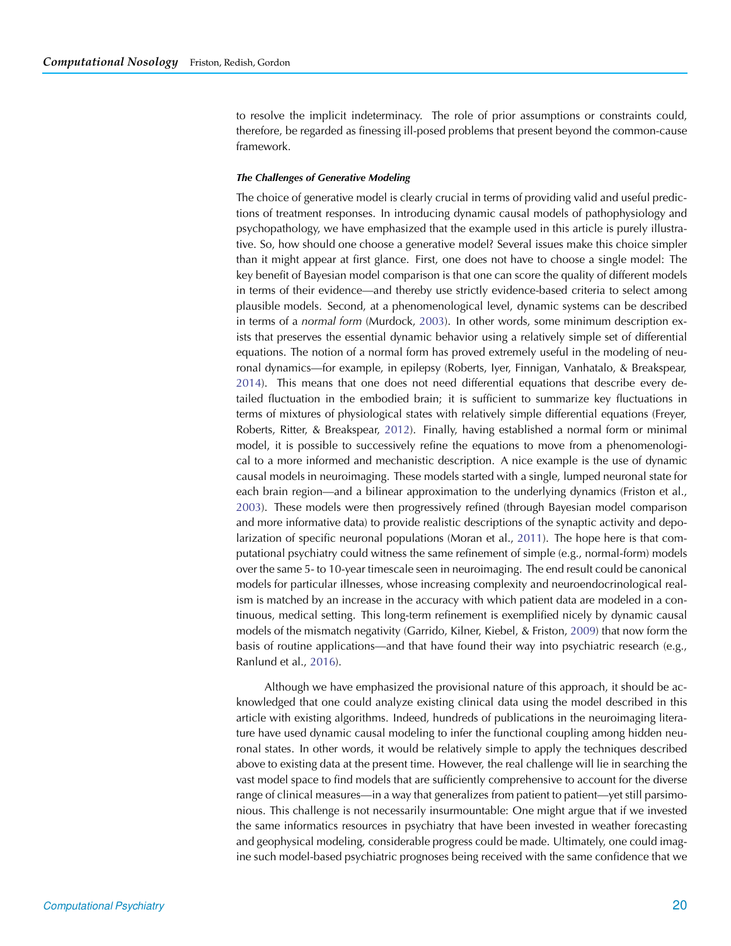to resolve the implicit indeterminacy. The role of prior assumptions or constraints could, therefore, be regarded as finessing ill-posed problems that present beyond the common-cause framework.

## *The Challenges of Generative Modeling*

The choice of generative model is clearly crucial in terms of providing valid and useful predictions of treatment responses. In introducing dynamic causal models of pathophysiology and psychopathology, we have emphasized that the example used in this article is purely illustrative. So, how should one choose a generative model? Several issues make this choice simpler than it might appear at first glance. First, one does not have to choose a single model: The key benefit of Bayesian model comparison is that one can score the quality of different models in terms of their evidence—and thereby use strictly evidence-based criteria to select among plausible models. Second, at a phenomenological level, dynamic systems can be described in terms of a *normal form* (Murdock, [2003\)](#page-20-34). In other words, some minimum description exists that preserves the essential dynamic behavior using a relatively simple set of differential equations. The notion of a normal form has proved extremely useful in the modeling of neuronal dynamics—for example, in epilepsy (Roberts, Iyer, Finnigan, Vanhatalo, & Breakspear, [2014\)](#page-20-35). This means that one does not need differential equations that describe every detailed fluctuation in the embodied brain; it is sufficient to summarize key fluctuations in terms of mixtures of physiological states with relatively simple differential equations (Freyer, Roberts, Ritter, & Breakspear, [2012\)](#page-19-9). Finally, having established a normal form or minimal model, it is possible to successively refine the equations to move from a phenomenological to a more informed and mechanistic description. A nice example is the use of dynamic causal models in neuroimaging. These models started with a single, lumped neuronal state for each brain region—and a bilinear approximation to the underlying dynamics (Friston et al., [2003\)](#page-20-5). These models were then progressively refined (through Bayesian model comparison and more informative data) to provide realistic descriptions of the synaptic activity and depolarization of specific neuronal populations (Moran et al., [2011\)](#page-20-33). The hope here is that computational psychiatry could witness the same refinement of simple (e.g., normal-form) models over the same 5- to 10-year timescale seen in neuroimaging. The end result could be canonical models for particular illnesses, whose increasing complexity and neuroendocrinological realism is matched by an increase in the accuracy with which patient data are modeled in a continuous, medical setting. This long-term refinement is exemplified nicely by dynamic causal models of the mismatch negativity (Garrido, Kilner, Kiebel, & Friston, [2009](#page-20-36)) that now form the basis of routine applications—and that have found their way into psychiatric research (e.g., Ranlund et al., [2016\)](#page-20-37).

Although we have emphasized the provisional nature of this approach, it should be acknowledged that one could analyze existing clinical data using the model described in this article with existing algorithms. Indeed, hundreds of publications in the neuroimaging literature have used dynamic causal modeling to infer the functional coupling among hidden neuronal states. In other words, it would be relatively simple to apply the techniques described above to existing data at the present time. However, the real challenge will lie in searching the vast model space to find models that are sufficiently comprehensive to account for the diverse range of clinical measures—in a way that generalizes from patient to patient—yet still parsimonious. This challenge is not necessarily insurmountable: One might argue that if we invested the same informatics resources in psychiatry that have been invested in weather forecasting and geophysical modeling, considerable progress could be made. Ultimately, one could imagine such model-based psychiatric prognoses being received with the same confidence that we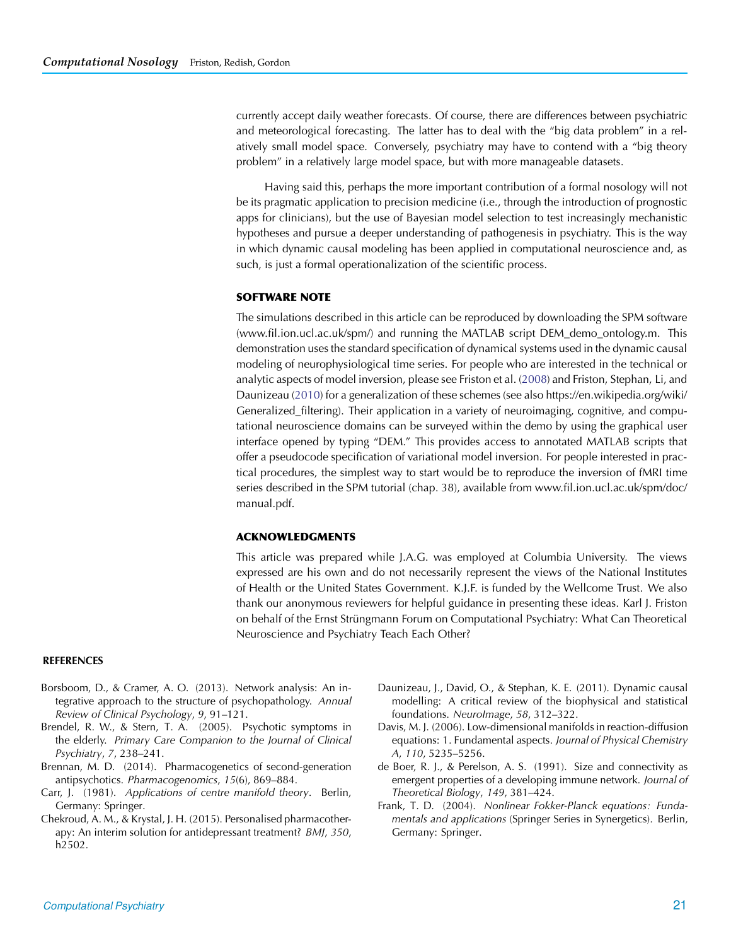currently accept daily weather forecasts. Of course, there are differences between psychiatric and meteorological forecasting. The latter has to deal with the "big data problem" in a relatively small model space. Conversely, psychiatry may have to contend with a "big theory problem" in a relatively large model space, but with more manageable datasets.

Having said this, perhaps the more important contribution of a formal nosology will not be its pragmatic application to precision medicine (i.e., through the introduction of prognostic apps for clinicians), but the use of Bayesian model selection to test increasingly mechanistic hypotheses and pursue a deeper understanding of pathogenesis in psychiatry. This is the way in which dynamic causal modeling has been applied in computational neuroscience and, as such, is just a formal operationalization of the scientific process.

## **SOFTWARE NOTE**

The simulations described in this article can be reproduced by downloading the SPM software (www.fil.ion.ucl.ac.uk/spm/) and running the MATLAB script DEM\_demo\_ontology.m. This demonstration uses the standard specification of dynamical systems used in the dynamic causal modeling of neurophysiological time series. For people who are interested in the technical or analytic aspects of model inversion, please see Friston et al. [\(2008](#page-20-26)) and Friston, Stephan, Li, and Daunizeau [\(2010](#page-20-38)) for a generalization of these schemes (see also https://en.wikipedia.org/wiki/ Generalized\_filtering). Their application in a variety of neuroimaging, cognitive, and computational neuroscience domains can be surveyed within the demo by using the graphical user interface opened by typing "DEM." This provides access to annotated MATLAB scripts that offer a pseudocode specification of variational model inversion. For people interested in practical procedures, the simplest way to start would be to reproduce the inversion of fMRI time series described in the SPM tutorial (chap. 38), available from www.fil.ion.ucl.ac.uk/spm/doc/ manual.pdf.

## **ACKNOWLEDGMENTS**

<span id="page-19-0"></span>This article was prepared while J.A.G. was employed at Columbia University. The views expressed are his own and do not necessarily represent the views of the National Institutes of Health or the United States Government. K.J.F. is funded by the Wellcome Trust. We also thank our anonymous reviewers for helpful guidance in presenting these ideas. Karl J. Friston on behalf of the Ernst Strüngmann Forum on Computational Psychiatry: What Can Theoretical Neuroscience and Psychiatry Teach Each Other?

### **REFERENCES**

- Borsboom, D., & Cramer, A. O. (2013). Network analysis: An integrative approach to the structure of psychopathology. *Annual Review of Clinical Psychology*, *9*, 91–121.
- Brendel, R. W., & Stern, T. A. (2005). Psychotic symptoms in the elderly. *Primary Care Companion to the Journal of Clinical Psychiatry*, *7*, 238–241.
- Brennan, M. D. (2014). Pharmacogenetics of second-generation antipsychotics. *Pharmacogenomics*, *15*(6), 869–884.
- Carr, J. (1981). *Applications of centre manifold theory*. Berlin, Germany: Springer.
- Chekroud, A. M., & Krystal, J. H. (2015). Personalised pharmacotherapy: An interim solution for antidepressant treatment? *BMJ*, *350*, h2502.
- Daunizeau, J., David, O., & Stephan, K. E. (2011). Dynamic causal modelling: A critical review of the biophysical and statistical foundations. *NeuroImage*, *58*, 312–322.
- <span id="page-19-8"></span><span id="page-19-4"></span>Davis, M. J. (2006). Low-dimensional manifolds in reaction-diffusion equations: 1. Fundamental aspects. *Journal of Physical Chemistry A*, *110*, 5235–5256.
- <span id="page-19-6"></span><span id="page-19-2"></span>de Boer, R. J., & Perelson, A. S. (1991). Size and connectivity as emergent properties of a developing immune network. *Journal of Theoretical Biology*, *149*, 381–424.
- <span id="page-19-9"></span><span id="page-19-7"></span><span id="page-19-5"></span><span id="page-19-3"></span><span id="page-19-1"></span>Frank, T. D. (2004). *Nonlinear Fokker-Planck equations: Fundamentals and applications* (Springer Series in Synergetics). Berlin, Germany: Springer.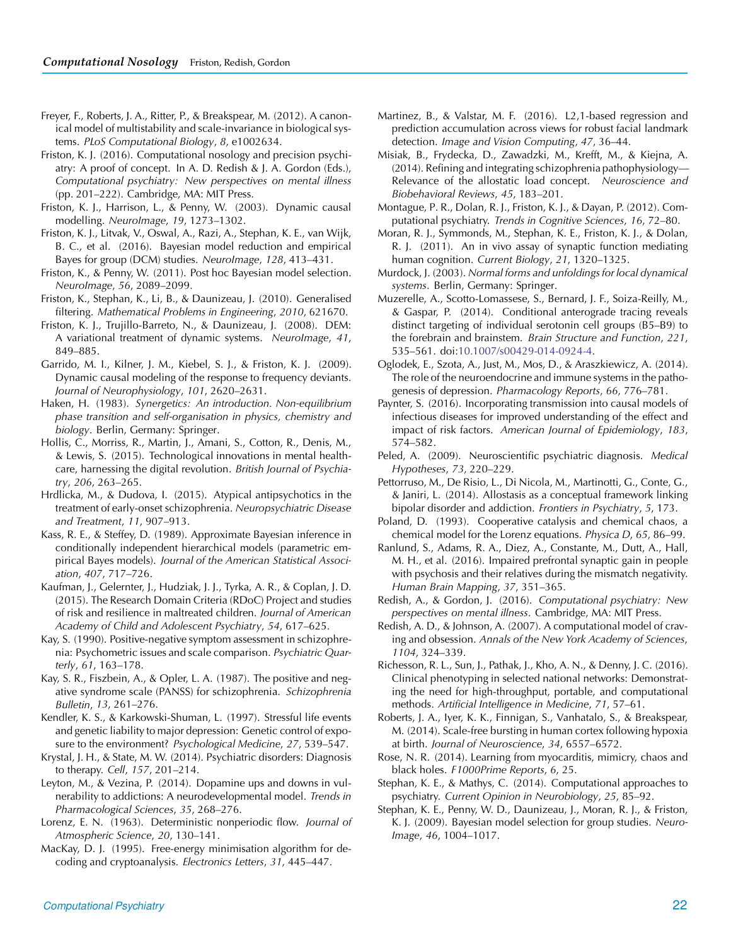- Freyer, F., Roberts, J. A., Ritter, P., & Breakspear, M. (2012). A canonical model of multistability and scale-invariance in biological systems. *PLoS Computational Biology*, *8*, e1002634.
- Friston, K. J. (2016). Computational nosology and precision psychiatry: A proof of concept. In A. D. Redish & J. A. Gordon (Eds.), *Computational psychiatry: New perspectives on mental illness* (pp. 201–222). Cambridge, MA: MIT Press.
- Friston, K. J., Harrison, L., & Penny, W. (2003). Dynamic causal modelling. *NeuroImage*, *19*, 1273–1302.
- Friston, K. J., Litvak, V., Oswal, A., Razi, A., Stephan, K. E., van Wijk, B. C., et al. (2016). Bayesian model reduction and empirical Bayes for group (DCM) studies. *NeuroImage*, *128*, 413–431.
- Friston, K., & Penny, W. (2011). Post hoc Bayesian model selection. *NeuroImage*, *56*, 2089–2099.
- Friston, K., Stephan, K., Li, B., & Daunizeau, J. (2010). Generalised filtering. *Mathematical Problems in Engineering*, *2010*, 621670.
- Friston, K. J., Trujillo-Barreto, N., & Daunizeau, J. (2008). DEM: A variational treatment of dynamic systems. *NeuroImage*, *41*, 849–885.
- Garrido, M. I., Kilner, J. M., Kiebel, S. J., & Friston, K. J. (2009). Dynamic causal modeling of the response to frequency deviants. *Journal of Neurophysiology*, *101*, 2620–2631.
- Haken, H. (1983). *Synergetics: An introduction. Non-equilibrium phase transition and self-organisation in physics, chemistry and biology*. Berlin, Germany: Springer.
- Hollis, C., Morriss, R., Martin, J., Amani, S., Cotton, R., Denis, M., & Lewis, S. (2015). Technological innovations in mental healthcare, harnessing the digital revolution. *British Journal of Psychiatry*, *206*, 263–265.
- Hrdlicka, M., & Dudova, I. (2015). Atypical antipsychotics in the treatment of early-onset schizophrenia. *Neuropsychiatric Disease and Treatment*, *11*, 907–913.
- Kass, R. E., & Steffey, D. (1989). Approximate Bayesian inference in conditionally independent hierarchical models (parametric empirical Bayes models). *Journal of the American Statistical Association*, *407*, 717–726.
- Kaufman, J., Gelernter, J., Hudziak, J. J., Tyrka, A. R., & Coplan, J. D. (2015). The Research Domain Criteria (RDoC) Project and studies of risk and resilience in maltreated children. *Journal of American Academy of Child and Adolescent Psychiatry*, *54*, 617–625.
- Kay, S. (1990). Positive-negative symptom assessment in schizophrenia: Psychometric issues and scale comparison. *Psychiatric Quarterly*, *61*, 163–178.
- Kay, S. R., Fiszbein, A., & Opler, L. A. (1987). The positive and negative syndrome scale (PANSS) for schizophrenia. *Schizophrenia Bulletin*, *13*, 261–276.
- Kendler, K. S., & Karkowski-Shuman, L. (1997). Stressful life events and genetic liability to major depression: Genetic control of exposure to the environment? *Psychological Medicine*, *27*, 539–547.
- Krystal, J. H., & State, M. W. (2014). Psychiatric disorders: Diagnosis to therapy. *Cell*, *157*, 201–214.
- Leyton, M., & Vezina, P. (2014). Dopamine ups and downs in vulnerability to addictions: A neurodevelopmental model. *Trends in Pharmacological Sciences*, *35*, 268–276.
- Lorenz, E. N. (1963). Deterministic nonperiodic flow. *Journal of Atmospheric Science*, *20*, 130–141.
- MacKay, D. J. (1995). Free-energy minimisation algorithm for decoding and cryptoanalysis. *Electronics Letters*, *31*, 445–447.
- <span id="page-20-10"></span>Martinez, B., & Valstar, M. F. (2016). L2,1-based regression and prediction accumulation across views for robust facial landmark detection. *Image and Vision Computing*, *47*, 36–44.
- <span id="page-20-17"></span><span id="page-20-3"></span>Misiak, B., Frydecka, D., Zawadzki, M., Krefft, M., & Kiejna, A. (2014). Refining and integrating schizophrenia pathophysiology— Relevance of the allostatic load concept. *Neuroscience and Biobehavioral Reviews*, *45*, 183–201.
- <span id="page-20-5"></span><span id="page-20-1"></span>Montague, P. R., Dolan, R. J., Friston, K. J., & Dayan, P. (2012). Computational psychiatry. *Trends in Cognitive Sciences*, *16*, 72–80.
- <span id="page-20-33"></span><span id="page-20-29"></span>Moran, R. J., Symmonds, M., Stephan, K. E., Friston, K. J., & Dolan, R. J. (2011). An in vivo assay of synaptic function mediating human cognition. *Current Biology*, *21*, 1320–1325.
- <span id="page-20-34"></span><span id="page-20-30"></span>Murdock, J. (2003). *Normal forms and unfoldings for local dynamical systems*. Berlin, Germany: Springer.
- <span id="page-20-38"></span><span id="page-20-26"></span><span id="page-20-22"></span>Muzerelle, A., Scotto-Lomassese, S., Bernard, J. F., Soiza-Reilly, M., & Gaspar, P. (2014). Conditional anterograde tracing reveals distinct targeting of individual serotonin cell groups (B5–B9) to the forebrain and brainstem. *Brain Structure and Function*, *221*, 535–561. doi[:10.1007/s00429-014-0924-4.](https://dx.doi.org/10.1007/s00429-014-0924-4)
- <span id="page-20-36"></span><span id="page-20-18"></span>Oglodek, E., Szota, A., Just, M., Mos, D., & Araszkiewicz, A. (2014). The role of the neuroendocrine and immune systems in the pathogenesis of depression. *Pharmacology Reports*, *66*, 776–781.
- <span id="page-20-31"></span><span id="page-20-20"></span>Paynter, S. (2016). Incorporating transmission into causal models of infectious diseases for improved understanding of the effect and impact of risk factors. *American Journal of Epidemiology*, *183*, 574–582.
- <span id="page-20-12"></span><span id="page-20-9"></span>Peled, A. (2009). Neuroscientific psychiatric diagnosis. *Medical Hypotheses*, *73*, 220–229.
- <span id="page-20-21"></span><span id="page-20-19"></span>Pettorruso, M., De Risio, L., Di Nicola, M., Martinotti, G., Conte, G., & Janiri, L. (2014). Allostasis as a conceptual framework linking bipolar disorder and addiction. *Frontiers in Psychiatry*, *5*, 173.
- <span id="page-20-28"></span><span id="page-20-15"></span>Poland, D. (1993). Cooperative catalysis and chemical chaos, a chemical model for the Lorenz equations. *Physica D*, *65*, 86–99.
- <span id="page-20-37"></span>Ranlund, S., Adams, R. A., Diez, A., Constante, M., Dutt, A., Hall, M. H., et al. (2016). Impaired prefrontal synaptic gain in people with psychosis and their relatives during the mismatch negativity. *Human Brain Mapping*, *37*, 351–365.
- <span id="page-20-11"></span><span id="page-20-0"></span>Redish, A., & Gordon, J. (2016). *Computational psychiatry: New perspectives on mental illness*. Cambridge, MA: MIT Press.
- <span id="page-20-13"></span><span id="page-20-2"></span>Redish, A. D., & Johnson, A. (2007). A computational model of craving and obsession. *Annals of the New York Academy of Sciences*, *1104*, 324–339.
- <span id="page-20-24"></span><span id="page-20-8"></span>Richesson, R. L., Sun, J., Pathak, J., Kho, A. N., & Denny, J. C. (2016). Clinical phenotyping in selected national networks: Demonstrating the need for high-throughput, portable, and computational methods. *Artificial Intelligence in Medicine*, *71*, 57–61.
- <span id="page-20-35"></span><span id="page-20-23"></span>Roberts, J. A., Iyer, K. K., Finnigan, S., Vanhatalo, S., & Breakspear, M. (2014). Scale-free bursting in human cortex following hypoxia at birth. *Journal of Neuroscience*, *34*, 6557–6572.
- <span id="page-20-25"></span><span id="page-20-7"></span>Rose, N. R. (2014). Learning from myocarditis, mimicry, chaos and black holes. *F1000Prime Reports*, *6*, 25.
- <span id="page-20-16"></span><span id="page-20-6"></span>Stephan, K. E., & Mathys, C. (2014). Computational approaches to psychiatry. *Current Opinion in Neurobiology*, *25*, 85–92.
- <span id="page-20-32"></span><span id="page-20-27"></span><span id="page-20-14"></span><span id="page-20-4"></span>Stephan, K. E., Penny, W. D., Daunizeau, J., Moran, R. J., & Friston, K. J. (2009). Bayesian model selection for group studies. *Neuro-Image*, *46*, 1004–1017.